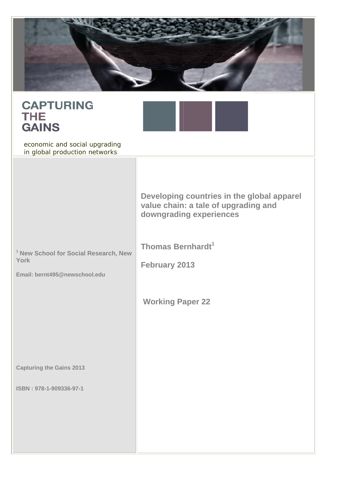

# **CAPTURING** THE<br>GAINS



 *ec in conomic an global pro nd social u oduction n upgrading networks* 

| <sup>1</sup> New School for Social Research, New<br><b>York</b><br>Email: bernt495@newschool.edu | Developing countries in the global apparel<br>value chain: a tale of upgrading and<br>downgrading experiences<br>Thomas Bernhardt <sup>1</sup><br><b>February 2013</b> |
|--------------------------------------------------------------------------------------------------|------------------------------------------------------------------------------------------------------------------------------------------------------------------------|
|                                                                                                  | <b>Working Paper 22</b>                                                                                                                                                |
|                                                                                                  |                                                                                                                                                                        |
| <b>Capturing the Gains 2013</b>                                                                  |                                                                                                                                                                        |
| ISBN: 978-1-909336-97-1                                                                          |                                                                                                                                                                        |
|                                                                                                  |                                                                                                                                                                        |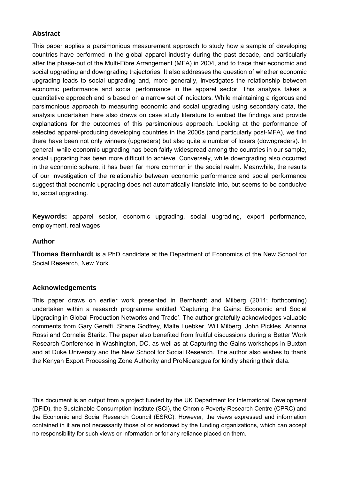#### **Abstract**

This paper applies a parsimonious measurement approach to study how a sample of developing countries have performed in the global apparel industry during the past decade, and particularly after the phase-out of the Multi-Fibre Arrangement (MFA) in 2004, and to trace their economic and social upgrading and downgrading trajectories. It also addresses the question of whether economic upgrading leads to social upgrading and, more generally, investigates the relationship between economic performance and social performance in the apparel sector. This analysis takes a quantitative approach and is based on a narrow set of indicators. While maintaining a rigorous and parsimonious approach to measuring economic and social upgrading using secondary data, the analysis undertaken here also draws on case study literature to embed the findings and provide explanations for the outcomes of this parsimonious approach. Looking at the performance of selected apparel-producing developing countries in the 2000s (and particularly post-MFA), we find there have been not only winners (upgraders) but also quite a number of losers (downgraders). In general, while economic upgrading has been fairly widespread among the countries in our sample, social upgrading has been more difficult to achieve. Conversely, while downgrading also occurred in the economic sphere, it has been far more common in the social realm. Meanwhile, the results of our investigation of the relationship between economic performance and social performance suggest that economic upgrading does not automatically translate into, but seems to be conducive to, social upgrading.

**Keywords:** apparel sector, economic upgrading, social upgrading, export performance, employment, real wages

#### **Author**

**Thomas Bernhardt** is a PhD candidate at the Department of Economics of the New School for Social Research, New York.

#### **Acknowledgements**

This paper draws on earlier work presented in Bernhardt and Milberg (2011; forthcoming) undertaken within a research programme entitled 'Capturing the Gains: Economic and Social Upgrading in Global Production Networks and Trade'. The author gratefully acknowledges valuable comments from Gary Gereffi, Shane Godfrey, Malte Luebker, Will Milberg, John Pickles, Arianna Rossi and Cornelia Staritz. The paper also benefited from fruitful discussions during a Better Work Research Conference in Washington, DC, as well as at Capturing the Gains workshops in Buxton and at Duke University and the New School for Social Research. The author also wishes to thank the Kenyan Export Processing Zone Authority and ProNicaragua for kindly sharing their data.

This document is an output from a project funded by the UK Department for International Development (DFID), the Sustainable Consumption Institute (SCI), the Chronic Poverty Research Centre (CPRC) and the Economic and Social Research Council (ESRC). However, the views expressed and information contained in it are not necessarily those of or endorsed by the funding organizations, which can accept no responsibility for such views or information or for any reliance placed on them.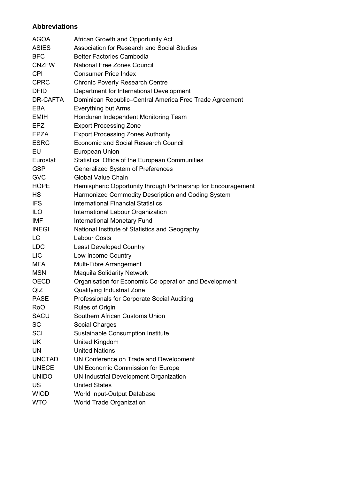# **Abbreviations**

| <b>AGOA</b>     | African Growth and Opportunity Act                            |
|-----------------|---------------------------------------------------------------|
| <b>ASIES</b>    | Association for Research and Social Studies                   |
| <b>BFC</b>      | <b>Better Factories Cambodia</b>                              |
| <b>CNZFW</b>    | <b>National Free Zones Council</b>                            |
| <b>CPI</b>      | <b>Consumer Price Index</b>                                   |
| <b>CPRC</b>     | <b>Chronic Poverty Research Centre</b>                        |
| <b>DFID</b>     | Department for International Development                      |
| <b>DR-CAFTA</b> | Dominican Republic-Central America Free Trade Agreement       |
| <b>EBA</b>      | <b>Everything but Arms</b>                                    |
| EMIH            | Honduran Independent Monitoring Team                          |
| <b>EPZ</b>      | <b>Export Processing Zone</b>                                 |
| <b>EPZA</b>     | <b>Export Processing Zones Authority</b>                      |
| <b>ESRC</b>     | <b>Economic and Social Research Council</b>                   |
| EU              | <b>European Union</b>                                         |
| Eurostat        | Statistical Office of the European Communities                |
| <b>GSP</b>      | <b>Generalized System of Preferences</b>                      |
| <b>GVC</b>      | <b>Global Value Chain</b>                                     |
| <b>HOPE</b>     | Hemispheric Opportunity through Partnership for Encouragement |
| <b>HS</b>       | Harmonized Commodity Description and Coding System            |
| <b>IFS</b>      | <b>International Financial Statistics</b>                     |
| <b>ILO</b>      | International Labour Organization                             |
| IMF             | <b>International Monetary Fund</b>                            |
| <b>INEGI</b>    | National Institute of Statistics and Geography                |
| LC              | <b>Labour Costs</b>                                           |
| <b>LDC</b>      | <b>Least Developed Country</b>                                |
| <b>LIC</b>      | Low-income Country                                            |
| <b>MFA</b>      | Multi-Fibre Arrangement                                       |
| <b>MSN</b>      | <b>Maquila Solidarity Network</b>                             |
| <b>OECD</b>     | Organisation for Economic Co-operation and Development        |
| QIZ             | Qualifying Industrial Zone                                    |
| <b>PASE</b>     | Professionals for Corporate Social Auditing                   |
| <b>RoO</b>      | Rules of Origin                                               |
| <b>SACU</b>     | Southern African Customs Union                                |
| <b>SC</b>       | Social Charges                                                |
| SCI             | Sustainable Consumption Institute                             |
| UK              | <b>United Kingdom</b>                                         |
| <b>UN</b>       | <b>United Nations</b>                                         |
| <b>UNCTAD</b>   | UN Conference on Trade and Development                        |
| <b>UNECE</b>    | UN Economic Commission for Europe                             |
| <b>UNIDO</b>    | UN Industrial Development Organization                        |
| <b>US</b>       | <b>United States</b>                                          |
| <b>WIOD</b>     | World Input-Output Database                                   |
| <b>WTO</b>      | <b>World Trade Organization</b>                               |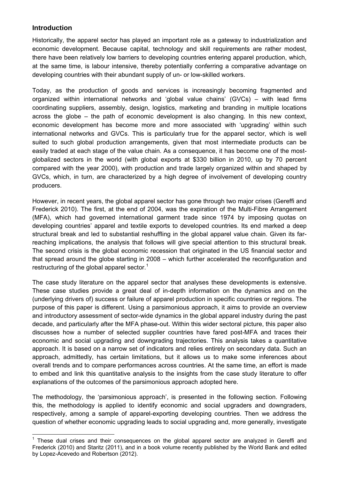#### **Introduction**

Historically, the apparel sector has played an important role as a gateway to industrialization and economic development. Because capital, technology and skill requirements are rather modest, there have been relatively low barriers to developing countries entering apparel production, which, at the same time, is labour intensive, thereby potentially conferring a comparative advantage on developing countries with their abundant supply of un- or low-skilled workers.

Today, as the production of goods and services is increasingly becoming fragmented and organized within international networks and 'global value chains' (GVCs) – with lead firms coordinating suppliers, assembly, design, logistics, marketing and branding in multiple locations across the globe – the path of economic development is also changing. In this new context, economic development has become more and more associated with 'upgrading' within such international networks and GVCs. This is particularly true for the apparel sector, which is well suited to such global production arrangements, given that most intermediate products can be easily traded at each stage of the value chain. As a consequence, it has become one of the mostglobalized sectors in the world (with global exports at \$330 billion in 2010, up by 70 percent compared with the year 2000), with production and trade largely organized within and shaped by GVCs, which, in turn, are characterized by a high degree of involvement of developing country producers.

However, in recent years, the global apparel sector has gone through two major crises (Gereffi and Frederick 2010). The first, at the end of 2004, was the expiration of the Multi-Fibre Arrangement (MFA), which had governed international garment trade since 1974 by imposing quotas on developing countries' apparel and textile exports to developed countries. Its end marked a deep structural break and led to substantial reshuffling in the global apparel value chain. Given its farreaching implications, the analysis that follows will give special attention to this structural break. The second crisis is the global economic recession that originated in the US financial sector and that spread around the globe starting in 2008 – which further accelerated the reconfiguration and restructuring of the global apparel sector.<sup>1</sup>

The case study literature on the apparel sector that analyses these developments is extensive. These case studies provide a great deal of in-depth information on the dynamics and on the (underlying drivers of) success or failure of apparel production in specific countries or regions. The purpose of this paper is different. Using a parsimonious approach, it aims to provide an overview and introductory assessment of sector-wide dynamics in the global apparel industry during the past decade, and particularly after the MFA phase-out. Within this wider sectoral picture, this paper also discusses how a number of selected supplier countries have fared post-MFA and traces their economic and social upgrading and downgrading trajectories. This analysis takes a quantitative approach. It is based on a narrow set of indicators and relies entirely on secondary data. Such an approach, admittedly, has certain limitations, but it allows us to make some inferences about overall trends and to compare performances across countries. At the same time, an effort is made to embed and link this quantitative analysis to the insights from the case study literature to offer explanations of the outcomes of the parsimonious approach adopted here.

The methodology, the 'parsimonious approach', is presented in the following section. Following this, the methodology is applied to identify economic and social upgraders and downgraders, respectively, among a sample of apparel-exporting developing countries. Then we address the question of whether economic upgrading leads to social upgrading and, more generally, investigate

<sup>1</sup> These dual crises and their consequences on the global apparel sector are analyzed in Gereffi and Frederick (2010) and Staritz (2011), and in a book volume recently published by the World Bank and edited by Lopez-Acevedo and Robertson (2012).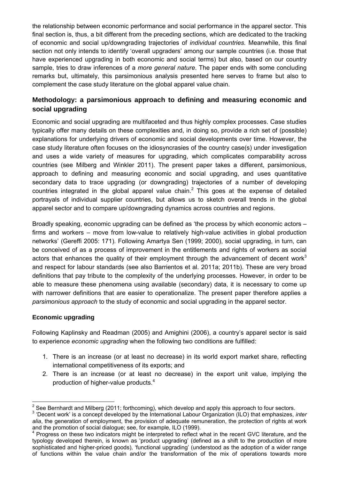the relationship between economic performance and social performance in the apparel sector. This final section is, thus, a bit different from the preceding sections, which are dedicated to the tracking of economic and social up/downgrading trajectories of *individual countries.* Meanwhile, this final section not only intends to identify 'overall upgraders' among our sample countries (i.e. those that have experienced upgrading in both economic and social terms) but also, based on our country sample, tries to draw inferences of a *more general nature*. The paper ends with some concluding remarks but, ultimately, this parsimonious analysis presented here serves to frame but also to complement the case study literature on the global apparel value chain.

# **Methodology: a parsimonious approach to defining and measuring economic and social upgrading**

Economic and social upgrading are multifaceted and thus highly complex processes. Case studies typically offer many details on these complexities and, in doing so, provide a rich set of (possible) explanations for underlying drivers of economic and social developments over time. However, the case study literature often focuses on the idiosyncrasies of the country case(s) under investigation and uses a wide variety of measures for upgrading, which complicates comparability across countries (see Milberg and Winkler 2011). The present paper takes a different, parsimonious, approach to defining and measuring economic and social upgrading, and uses quantitative secondary data to trace upgrading (or downgrading) trajectories of a number of developing countries integrated in the global apparel value chain.<sup>2</sup> This goes at the expense of detailed portrayals of individual supplier countries, but allows us to sketch overall trends in the global apparel sector and to compare up/downgrading dynamics across countries and regions.

Broadly speaking, economic upgrading can be defined as 'the process by which economic actors – firms and workers – move from low-value to relatively high-value activities in global production networks' (Gereffi 2005: 171). Following Amartya Sen (1999; 2000), social upgrading, in turn, can be conceived of as a process of improvement in the entitlements and rights of workers as social actors that enhances the quality of their employment through the advancement of decent work $3$ and respect for labour standards (see also Barrientos et al. 2011a; 2011b). These are very broad definitions that pay tribute to the complexity of the underlying processes. However, in order to be able to measure these phenomena using available (secondary) data, it is necessary to come up with narrower definitions that are easier to operationalize. The present paper therefore applies a *parsimonious approach* to the study of economic and social upgrading in the apparel sector.

#### **Economic upgrading**

Following Kaplinsky and Readman (2005) and Amighini (2006), a country's apparel sector is said to experience *economic upgrading* when the following two conditions are fulfilled:

- 1. There is an increase (or at least no decrease) in its world export market share, reflecting international competitiveness of its exports; and
- 2. There is an increase (or at least no decrease) in the export unit value, implying the production of higher-value products.<sup>4</sup>

<sup>2&</sup>lt;br>
<sup>2</sup> See Bernhardt and Milberg (2011; forthcoming), which develop and apply this approach to four sectors.<br>
<sup>3</sup> 'Decent work' is a concept developed by the International Labour Organization (ILO) that emphasizes

 <sup>&#</sup>x27;Decent work' is a concept developed by the International Labour Organization (ILO) that emphasizes, *inter alia*, the generation of employment, the provision of adequate remuneration, the protection of rights at work and the promotion of social dialogue; see, for example, ILO (1999). 4

<sup>&</sup>lt;sup>4</sup> Progress on these two indicators might be interpreted to reflect what in the recent GVC literature, and the typology developed therein, is known as 'product upgrading' (defined as a shift to the production of more sophisticated and higher-priced goods), 'functional upgrading' (understood as the adoption of a wider range of functions within the value chain and/or the transformation of the mix of operations towards more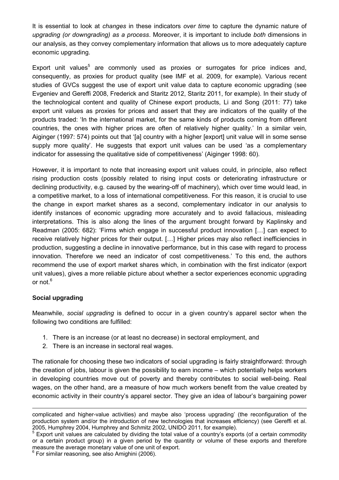It is essential to look at *changes* in these indicators *over time* to capture the dynamic nature of *upgrading (or downgrading) as a process*. Moreover, it is important to include *both* dimensions in our analysis, as they convey complementary information that allows us to more adequately capture economic upgrading.

Export unit values<sup>5</sup> are commonly used as proxies or surrogates for price indices and, consequently, as proxies for product quality (see IMF et al. 2009, for example). Various recent studies of GVCs suggest the use of export unit value data to capture economic upgrading (see Evgeniev and Gereffi 2008, Frederick and Staritz 2012, Staritz 2011, for example). In their study of the technological content and quality of Chinese export products, Li and Song (2011: 77) take export unit values as proxies for prices and assert that they are indicators of the quality of the products traded: 'In the international market, for the same kinds of products coming from different countries, the ones with higher prices are often of relatively higher quality.' In a similar vein, Aiginger (1997: 574) points out that '[a] country with a higher [export] unit value will in some sense supply more quality'. He suggests that export unit values can be used 'as a complementary indicator for assessing the qualitative side of competitiveness' (Aiginger 1998: 60).

However, it is important to note that increasing export unit values could, in principle, also reflect rising production costs (possibly related to rising input costs or deteriorating infrastructure or declining productivity, e.g. caused by the wearing-off of machinery), which over time would lead, in a competitive market, to a loss of international competitiveness. For this reason, it is crucial to use the change in export market shares as a second, complementary indicator in our analysis to identify instances of economic upgrading more accurately and to avoid fallacious, misleading interpretations. This is also along the lines of the argument brought forward by Kaplinsky and Readman (2005: 682): 'Firms which engage in successful product innovation […] can expect to receive relatively higher prices for their output. […] Higher prices may also reflect inefficiencies in production, suggesting a decline in innovative performance, but in this case with regard to process innovation. Therefore we need an indicator of cost competitiveness.' To this end, the authors recommend the use of export market shares which, in combination with the first indicator (export unit values), gives a more reliable picture about whether a sector experiences economic upgrading or not. $6$ 

#### **Social upgrading**

Meanwhile, *social upgrading* is defined to occur in a given country's apparel sector when the following two conditions are fulfilled:

- 1. There is an increase (or at least no decrease) in sectoral employment, and
- 2. There is an increase in sectoral real wages.

The rationale for choosing these two indicators of social upgrading is fairly straightforward: through the creation of jobs, labour is given the possibility to earn income – which potentially helps workers in developing countries move out of poverty and thereby contributes to social well-being. Real wages, on the other hand, are a measure of how much workers benefit from the value created by economic activity in their country's apparel sector. They give an idea of labour's bargaining power

<u> 1989 - Andrea Santa Andrea Andrea Andrea Andrea Andrea Andrea Andrea Andrea Andrea Andrea Andrea Andrea Andr</u>

complicated and higher-value activities) and maybe also 'process upgrading' (the reconfiguration of the production system and/or the introduction of new technologies that increases efficiency) (see Gereffi et al. 2005, Humphrey 2004, Humphrey and Schmitz 2002, UNIDO 2011, for example). <sup>5</sup>

 $5$  Export unit values are calculated by dividing the total value of a country's exports (of a certain commodity or a certain product group) in a given period by the quantity or volume of these exports and therefore measure the average monetary value of one unit of export. 6

 $6$  For similar reasoning, see also Amighini (2006).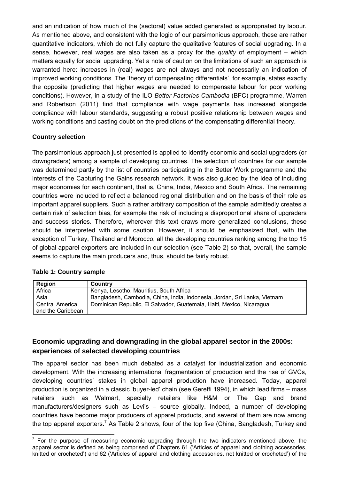and an indication of how much of the (sectoral) value added generated is appropriated by labour. As mentioned above, and consistent with the logic of our parsimonious approach, these are rather quantitative indicators, which do not fully capture the qualitative features of social upgrading. In a sense, however, real wages are also taken as a proxy for the *quality* of employment – which matters equally for social upgrading. Yet a note of caution on the limitations of such an approach is warranted here: increases in (real) wages are not always and not necessarily an indication of improved working conditions. The 'theory of compensating differentials', for example, states exactly the opposite (predicting that higher wages are needed to compensate labour for poor working conditions). However, in a study of the ILO *Better Factories Cambodia* (BFC) programme, Warren and Robertson (2011) find that compliance with wage payments has increased alongside compliance with labour standards, suggesting a robust positive relationship between wages and working conditions and casting doubt on the predictions of the compensating differential theory.

#### **Country selection**

The parsimonious approach just presented is applied to identify economic and social upgraders (or downgraders) among a sample of developing countries. The selection of countries for our sample was determined partly by the list of countries participating in the Better Work programme and the interests of the Capturing the Gains research network. It was also guided by the idea of including major economies for each continent, that is, China, India, Mexico and South Africa. The remaining countries were included to reflect a balanced regional distribution and on the basis of their role as important apparel suppliers. Such a rather arbitrary composition of the sample admittedly creates a certain risk of selection bias, for example the risk of including a disproportional share of upgraders and success stories. Therefore, wherever this text draws more generalized conclusions, these should be interpreted with some caution. However, it should be emphasized that, with the exception of Turkey, Thailand and Morocco, all the developing countries ranking among the top 15 of global apparel exporters are included in our selection (see Table 2) so that, overall, the sample seems to capture the main producers and, thus, should be fairly robust.

| <b>Region</b>          | Country                                                                   |
|------------------------|---------------------------------------------------------------------------|
| Africa                 | Kenya, Lesotho, Mauritius, South Africa                                   |
| Asia                   | Bangladesh, Cambodia, China, India, Indonesia, Jordan, Sri Lanka, Vietnam |
| <b>Central America</b> | Dominican Republic, El Salvador, Guatemala, Haiti, Mexico, Nicaragua      |
| and the Caribbean      |                                                                           |

#### **Table 1: Country sample**

### **Economic upgrading and downgrading in the global apparel sector in the 2000s: experiences of selected developing countries**

The apparel sector has been much debated as a catalyst for industrialization and economic development. With the increasing international fragmentation of production and the rise of GVCs, developing countries' stakes in global apparel production have increased. Today, apparel production is organized in a classic 'buyer-led' chain (see Gereffi 1994), in which lead firms – mass retailers such as Walmart, specialty retailers like H&M or The Gap and brand manufacturers/designers such as Levi's – source globally. Indeed, a number of developing countries have become major producers of apparel products, and several of them are now among the top apparel exporters.<sup>7</sup> As Table 2 shows, four of the top five (China, Bangladesh, Turkey and

  $7$  For the purpose of measuring economic upgrading through the two indicators mentioned above, the apparel sector is defined as being comprised of Chapters 61 ('Articles of apparel and clothing accessories, knitted or crocheted') and 62 ('Articles of apparel and clothing accessories, not knitted or crocheted') of the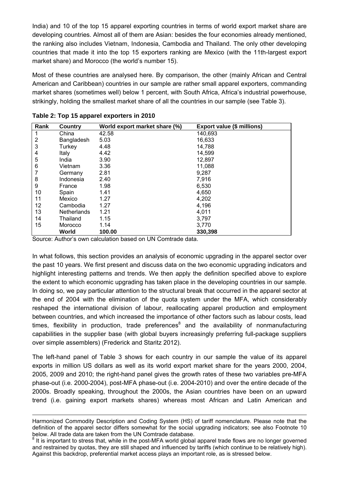India) and 10 of the top 15 apparel exporting countries in terms of world export market share are developing countries. Almost all of them are Asian: besides the four economies already mentioned, the ranking also includes Vietnam, Indonesia, Cambodia and Thailand. The only other developing countries that made it into the top 15 exporters ranking are Mexico (with the 11th-largest export market share) and Morocco (the world's number 15).

Most of these countries are analysed here. By comparison, the other (mainly African and Central American and Caribbean) countries in our sample are rather small apparel exporters, commanding market shares (sometimes well) below 1 percent, with South Africa, Africa's industrial powerhouse, strikingly, holding the smallest market share of all the countries in our sample (see Table 3).

| Rank | Country            | World export market share (%) | <b>Export value (\$ millions)</b> |
|------|--------------------|-------------------------------|-----------------------------------|
|      | China              | 42.58                         | 140,693                           |
| 2    | Bangladesh         | 5.03                          | 16,633                            |
| 3    | Turkey             | 4.48                          | 14,788                            |
| 4    | Italy              | 4.42                          | 14,599                            |
| 5    | India              | 3.90                          | 12,897                            |
| 6    | Vietnam            | 3.36                          | 11,088                            |
| 7    | Germany            | 2.81                          | 9,287                             |
| 8    | Indonesia          | 2.40                          | 7,916                             |
| 9    | France             | 1.98                          | 6,530                             |
| 10   | Spain              | 1.41                          | 4,650                             |
| 11   | Mexico             | 1.27                          | 4,202                             |
| 12   | Cambodia           | 1.27                          | 4,196                             |
| 13   | <b>Netherlands</b> | 1.21                          | 4,011                             |
| 14   | Thailand           | 1.15                          | 3,797                             |
| 15   | Morocco            | 1.14                          | 3,770                             |
|      | World              | 100.00                        | 330,398                           |

|  |  | Table 2: Top 15 apparel exporters in 2010 |  |
|--|--|-------------------------------------------|--|
|  |  |                                           |  |

Source: Author's own calculation based on UN Comtrade data.

In what follows, this section provides an analysis of economic upgrading in the apparel sector over the past 10 years. We first present and discuss data on the two economic upgrading indicators and highlight interesting patterns and trends. We then apply the definition specified above to explore the extent to which economic upgrading has taken place in the developing countries in our sample. In doing so, we pay particular attention to the structural break that occurred in the apparel sector at the end of 2004 with the elimination of the quota system under the MFA, which considerably reshaped the international division of labour, reallocating apparel production and employment between countries, and which increased the importance of other factors such as labour costs, lead times, flexibility in production, trade preferences<sup>8</sup> and the availability of nonmanufacturing capabilities in the supplier base (with global buyers increasingly preferring full-package suppliers over simple assemblers) (Frederick and Staritz 2012).

The left-hand panel of Table 3 shows for each country in our sample the value of its apparel exports in million US dollars as well as its world export market share for the years 2000, 2004, 2005, 2009 and 2010; the right-hand panel gives the growth rates of these two variables pre-MFA phase-out (i.e. 2000-2004), post-MFA phase-out (i.e. 2004-2010) and over the entire decade of the 2000s. Broadly speaking, throughout the 2000s, the Asian countries have been on an upward trend (i.e. gaining export markets shares) whereas most African and Latin American and

<sup>&</sup>lt;u> 1989 - Andrea Santa Andrea Andrea Andrea Andrea Andrea Andrea Andrea Andrea Andrea Andrea Andrea Andrea Andr</u> Harmonized Commodity Description and Coding System (HS) of tariff nomenclature. Please note that the definition of the apparel sector differs somewhat for the social upgrading indicators; see also Footnote 10 below. All trade data are taken from the UN Comtrade database.

<sup>8</sup> It is important to stress that, while in the post-MFA world global apparel trade flows are no longer governed and restrained by quotas, they are still shaped and influenced by tariffs (which continue to be relatively high). Against this backdrop, preferential market access plays an important role, as is stressed below.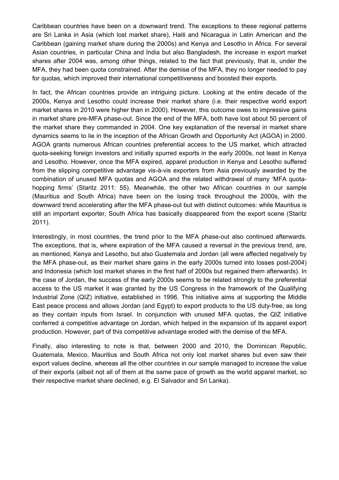Caribbean countries have been on a downward trend. The exceptions to these regional patterns are Sri Lanka in Asia (which lost market share), Haiti and Nicaragua in Latin American and the Caribbean (gaining market share during the 2000s) and Kenya and Lesotho in Africa. For several Asian countries, in particular China and India but also Bangladesh, the increase in export market shares after 2004 was, among other things, related to the fact that previously, that is, under the MFA, they had been quota constrained. After the demise of the MFA, they no longer needed to pay for quotas, which improved their international competitiveness and boosted their exports.

In fact, the African countries provide an intriguing picture. Looking at the entire decade of the 2000s, Kenya and Lesotho could increase their market share (i.e. their respective world export market shares in 2010 were higher than in 2000). However, this outcome owes to impressive gains in market share pre-MFA phase-out. Since the end of the MFA, both have lost about 50 percent of the market share they commanded in 2004. One key explanation of the reversal in market share dynamics seems to lie in the inception of the African Growth and Opportunity Act (AGOA) in 2000. AGOA grants numerous African countries preferential access to the US market, which attracted quota-seeking foreign investors and initially spurred exports in the early 2000s, not least in Kenya and Lesotho. However, once the MFA expired, apparel production in Kenya and Lesotho suffered from the slipping competitive advantage vis-à-vis exporters from Asia previously awarded by the combination of unused MFA quotas and AGOA and the related withdrawal of many 'MFA quotahopping firms' (Staritz 2011: 55). Meanwhile, the other two African countries in our sample (Mauritius and South Africa) have been on the losing track throughout the 2000s, with the downward trend accelerating after the MFA phase-out but with distinct outcomes: while Mauritius is still an important exporter, South Africa has basically disappeared from the export scene (Staritz 2011).

Interestingly, in most countries, the trend prior to the MFA phase-out also continued afterwards. The exceptions, that is, where expiration of the MFA caused a reversal in the previous trend, are, as mentioned, Kenya and Lesotho, but also Guatemala and Jordan (all were affected negatively by the MFA phase-out, as their market share gains in the early 2000s turned into losses post-2004) and Indonesia (which lost market shares in the first half of 2000s but regained them afterwards). In the case of Jordan, the success of the early 2000s seems to be related strongly to the preferential access to the US market it was granted by the US Congress in the framework of the Qualifying Industrial Zone (QIZ) initiative, established in 1996. This initiative aims at supporting the Middle East peace process and allows Jordan (and Egypt) to export products to the US duty-free, as long as they contain inputs from Israel. In conjunction with unused MFA quotas, the QIZ initiative conferred a competitive advantage on Jordan, which helped in the expansion of its apparel export production. However, part of this competitive advantage eroded with the demise of the MFA.

Finally, also interesting to note is that, between 2000 and 2010, the Dominican Republic, Guatemala, Mexico, Mauritius and South Africa not only lost market shares but even saw their export values decline, whereas all the other countries in our sample managed to increase the value of their exports (albeit not all of them at the same pace of growth as the world apparel market, so their respective market share declined, e.g. El Salvador and Sri Lanka).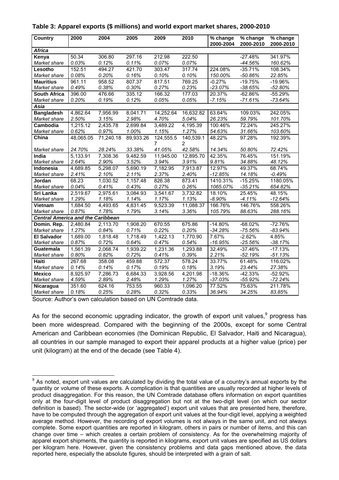| <b>Country</b>                           | 2000      | 2004      | 2005      | 2009      | 2010           | $\overline{\%}$ change<br>2000-2004 | % change<br>2000-2010 | % change<br>2000-2010 |
|------------------------------------------|-----------|-----------|-----------|-----------|----------------|-------------------------------------|-----------------------|-----------------------|
| <b>Africa</b>                            |           |           |           |           |                |                                     |                       |                       |
| Kenya                                    | 50.34     | 306.80    | 297.16    | 212.98    | 222.50         |                                     | $-27.48%$             | 341.97%               |
| Market share                             | 0.03%     | 0.12%     | 0.11%     | 0.07%     | 0.07%          |                                     | -44.56%               | 160.62%               |
| Lesotho                                  | 152.51    | 494.27    | 421.70    | 303.47    | 317.74         | 224.08%                             | $-35.71%$             | 108.34%               |
| Market share                             | 0.08%     | 0.20%     | 0.16%     | 0.10%     | 0.10%          | 150.00%                             | $-50.86%$             | 22.85%                |
| <b>Mauritius</b>                         | 961.11    | 958.52    | 807.37    | 817.51    | 769.25         | $-0.27%$                            | $-19.75%$             | $-19.96%$             |
| Market share                             | 0.49%     | 0.38%     | 0.30%     | 0.27%     | 0.23%          | $-23.07%$                           | $-38.65%$             | $-52.80%$             |
| <b>South Africa</b>                      | 396.00    | 476.66    | 335.12    | 166.32    | 177.03         | 20.37%                              | $-62.86%$             | $-55.29%$             |
| Market share                             | 0.20%     | 0.19%     | 0.12%     | 0.05%     | 0.05%          | $-7.15%$                            | $-71.61%$             | $-73.64%$             |
| Asia                                     |           |           |           |           |                |                                     |                       |                       |
| <b>Bangladesh</b>                        | 4,862.64  | 7,956.99  | 8,041.71  | 14,252.64 | 16,632.82      | 63.64%                              | 109.03%               | 242.05%               |
| Market share                             | 2.50%     | 3.15%     | 2.98%     | 4.70%     | 5.04%          | 26.23%                              | 59.79%                | 101.70%               |
| Cambodia                                 | 1,215.12  | 2,435.78  | 2,699.84  | 3,489.22  | 4,195.39       | 100.46%                             | 72.24%                | 245.27%               |
| Market share                             | 0.62%     | 0.97%     | 1.00%     | 1.15%     | 1.27%          | 54.63%                              | 31.66%                | 103.60%               |
| China                                    | 48,065.05 | 71,240.18 | 89,933.26 | 124,555.5 | 140,539.1      | 48.22%                              | 97.28%                | 192.39%               |
|                                          |           |           |           | 7         | $\overline{2}$ |                                     |                       |                       |
| Market share                             | 24.70%    | 28.24%    | 33.38%    | 41.05%    | 42.58%         | 14.34%                              | 50.80%                | 72.42%                |
| India                                    | 5,133.91  | 7,308.36  | 9,482.59  | 11,945.00 | 12,895.70      | 42.35%                              | 76.45%                | 151.19%               |
| Market share                             | 2.64%     | 2.90%     | 3.52%     | 3.94%     | 3.91%          | 9.81%                               | 34.88%                | 48.12%                |
| <b>Indonesia</b>                         | 4,689.85  | 5,298.07  | 5,690.19  | 7,182.95  | 7,913.87       | 12.97%                              | 49.37%                | 68.74%                |
| Market share                             | 2.41%     | 2.10%     | 2.11%     | 2.37%     | 2.40%          | $-12.85%$                           | 14.18%                | $-0.49%$              |
| Jordan                                   | 68.23     | 1,030.52  | 1,157.48  | 826.38    | 873.41         | 1410.31%                            | $-15.25%$             | 1180.05%              |
| Market share                             | 0.04%     | 0.41%     | 0.43%     | 0.27%     | 0.26%          | 1065.07%                            | $-35.21%$             | 654.82%               |
| Sri Lanka                                | 2,519.67  | 2,975.61  | 3,084.93  | 3,541.67  | 3,732.82       | 18.10%                              | 25.45%                | 48.15%                |
| Market share                             | 1.29%     | 1.18%     | 1.14%     | 1.17%     | 1.13%          | $-8.90%$                            | $-4.11%$              | $-12.64%$             |
| <b>Vietnam</b>                           | 1,684.50  | 4,493.65  | 4,831.45  | 9,523.39  | 11,088.37      | 166.76%                             | 146.76%               | 558.26%               |
| Market share                             | 0.87%     | 1.78%     | 1.79%     | 3.14%     | 3.36%          | 105.79%                             | 88.63%                | 288.16%               |
| <b>Central America and the Caribbean</b> |           |           |           |           |                |                                     |                       |                       |
| Domin. Rep.                              | 2,480.84  | 2,113.70  | 1,908.20  | 670.55    | 675.86         | $-14.80%$                           | $-68.02%$             | $-72.76%$             |
| Market share                             | 1.27%     | 0.84%     | 0.71%     | 0.22%     | 0.20%          | $-34.28%$                           | $-75.56%$             | $-83.94%$             |
| <b>El Salvador</b>                       | 1,689.00  | 1,818.48  | 1,718.49  | 1,422.13  | 1,770.90       | 7.67%                               | $-2.62%$              | 4.85%                 |
| Market share                             | 0.87%     | 0.72%     | 0.64%     | 0.47%     | 0.54%          | $-16.95%$                           | $-25.56%$             | $-38.17%$             |
| <b>Guatemala</b>                         | 1,561.39  | 2,068.74  | 1,939.22  | 1,231.36  | 1,293.88       | 32.49%                              | $-37.46%$             | $-17.13%$             |
| Market share                             | 0.80%     | 0.82%     | 0.72%     | 0.41%     | 0.39%          | 2.21%                               | -52.19%               | $-51.13%$             |
| Haiti                                    | 267.68    | 358.08    | 459.88    | 572.37    | 578.24         | 33.77%                              | 61.48%                | 116.02%               |
| Market share                             | 0.14%     | 0.14%     | 0.17%     | 0.19%     | 0.18%          | 3.19%                               | 23.44%                | 27.38%                |
| <b>Mexico</b>                            | 8,925.97  | 7,286.73  | 6,684.33  | 3,928.56  | 4,201.98       | $-18.36%$                           | $-42.33%$             | $-52.92%$             |
| Market share                             | 4.59%     | 2.89%     | 2.48%     | 1.29%     | 1.27%          | $-37.03%$                           | $-55.92%$             | $-72.24%$             |
| Nicaragua                                | 351.60    | 624.16    | 753.55    | 960.33    | 1,096.20       | 77.52%                              | 75.63%                | 211.78%               |
| Market share                             | 0.18%     | 0.25%     | 0.28%     | 0.32%     | 0.33%          | 36.94%                              | 34.25%                | 83.85%                |

**Table 3: Apparel exports (\$ millions) and world export market shares, 2000-2010** 

Source: Author's own calculation based on UN Comtrade data.

As for the second economic upgrading indicator, the growth of export unit values,  $9$  progress has been more widespread. Compared with the beginning of the 2000s, except for some Central American and Caribbean economies (the Dominican Republic, El Salvador, Haiti and Nicaragua), all countries in our sample managed to export their apparel products at a higher value (price) per unit (kilogram) at the end of the decade (see Table 4).

exting the total metal control and the mode of the mode of a country annual exports by the set as noted, exports by the set as noted, exports by the set as noted, exports by the set as noted. quantity or volume of these exports. A complication is that quantities are usually recorded at higher levels of product disaggregation. For this reason, the UN Comtrade database offers information on export quantities only at the four-digit level of product disaggregation but not at the two-digit level (on which our sector definition is based). The sector-wide (or 'aggregated') export unit values that are presented here, therefore, have to be computed through the aggregation of export unit values at the four-digit level, applying a weighted average method. However, the recording of export volumes is not always in the same unit, and not always complete. Some export quantities are reported in kilogram, others in pairs or number of items, and this can change over time – which creates a certain problem of consistency. As for the overwhelming majority of apparel export shipments, the quantity is reported in kilograms, export unit values are specified as US dollars per kilogram here. However, given the consistency problems and data gaps mentioned above, the data reported here, especially the absolute figures, should be interpreted with a grain of salt.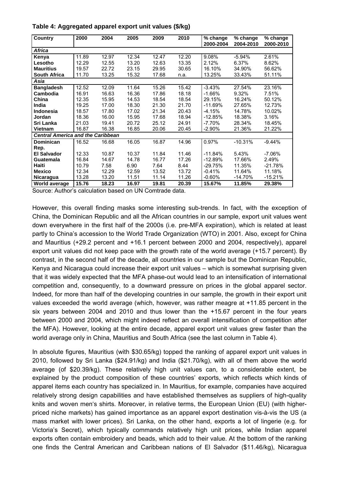| <b>Country</b>                           | 2000  | 2004  | 2005  | 2009  | 2010  | $%$ change<br>2000-2004 | % change<br>2004-2010 | % change<br>2000-2010 |
|------------------------------------------|-------|-------|-------|-------|-------|-------------------------|-----------------------|-----------------------|
| <b>Africa</b>                            |       |       |       |       |       |                         |                       |                       |
| Kenya                                    | 11.89 | 12.97 | 12.34 | 12.47 | 12.20 | 9.08%                   | $-5.94%$              | 2.61%                 |
| Lesotho                                  | 12.29 | 12.55 | 13.20 | 12.63 | 13.35 | 2.12%                   | 6.37%                 | 8.62%                 |
| <b>Mauritius</b>                         | 19.57 | 22.72 | 23.15 | 29.95 | 30.65 | 16.10%                  | 34.90%                | 56.62%                |
| <b>South Africa</b>                      | 11.70 | 13.25 | 15.32 | 17.68 | n.a.  | 13.25%                  | 33.43%                | 51.11%                |
| Asia                                     |       |       |       |       |       |                         |                       |                       |
| <b>Bangladesh</b>                        | 12.52 | 12.09 | 11.64 | 15.26 | 15.42 | $-3.43%$                | 27.54%                | 23.16%                |
| Cambodia                                 | 16.91 | 16.63 | 16.36 | 17.86 | 18.18 | $-1.66%$                | 9.32%                 | 7.51%                 |
| China                                    | 12.35 | 15.95 | 14.53 | 18.54 | 18.54 | 29.15%                  | 16.24%                | 50.12%                |
| India                                    | 19.25 | 17.00 | 18.30 | 21.30 | 21.70 | -11.69%                 | 27.65%                | 12.73%                |
| <b>Indonesia</b>                         | 18.57 | 17.80 | 17.02 | 21.34 | 20.43 | $-4.15%$                | 14.78%                | 10.02%                |
| Jordan                                   | 18.36 | 16.00 | 15.95 | 17.68 | 18.94 | $-12.85%$               | 18.38%                | 3.16%                 |
| Sri Lanka                                | 21.03 | 19.41 | 20.72 | 25.12 | 24.91 | $-7.70\%$               | 28.34%                | 18.45%                |
| Vietnam                                  | 16.87 | 16.38 | 16.85 | 20.06 | 20.45 | $-2.90\%$               | 21.36%                | 21.22%                |
| <b>Central America and the Caribbean</b> |       |       |       |       |       |                         |                       |                       |
| Dominican                                | 16.52 | 16.68 | 16.05 | 16.87 | 14.96 | 0.97%                   | $-10.31%$             | $-9.44%$              |
| Rep.                                     |       |       |       |       |       |                         |                       |                       |
| <b>El Salvador</b>                       | 12.33 | 10.87 | 10.37 | 11.84 | 11.46 | $-11.84%$               | 5.43%                 | $-7.06\%$             |
| Guatemala                                | 16.84 | 14.67 | 14.78 | 16.77 | 17.26 | $-12.89%$               | 17.66%                | 2.49%                 |
| Haiti                                    | 10.79 | 7.58  | 6.90  | 7.64  | 8.44  | $-29.75%$               | 11.35%                | $-21.78%$             |
| <b>Mexico</b>                            | 12.34 | 12.29 | 12.59 | 13.52 | 13.72 | -0.41%                  | 11.64%                | 11.18%                |
| Nicaragua                                | 13.28 | 13.20 | 11.51 | 11.14 | 11.26 | $-0.60%$                | $-14.70%$             | $-15.21%$             |
| <b>World average</b>                     | 15.76 | 18.23 | 16.97 | 19.81 | 20.39 | 15.67%                  | 11.85%                | 29.38%                |

**Table 4: Aggregated apparel export unit values (\$/kg)** 

Source: Author's calculation based on UN Comtrade data.

However, this overall finding masks some interesting sub-trends. In fact, with the exception of China, the Dominican Republic and all the African countries in our sample, export unit values went down everywhere in the first half of the 2000s (i.e. pre-MFA expiration), which is related at least partly to China's accession to the World Trade Organization (WTO) in 2001. Also, except for China and Mauritius (+29.2 percent and +16.1 percent between 2000 and 2004, respectively), apparel export unit values did not keep pace with the growth rate of the world average (+15.7 percent). By contrast, in the second half of the decade, all countries in our sample but the Dominican Republic, Kenya and Nicaragua could increase their export unit values – which is somewhat surprising given that it was widely expected that the MFA phase-out would lead to an intensification of international competition and, consequently, to a downward pressure on prices in the global apparel sector. Indeed, for more than half of the developing countries in our sample, the growth in their export unit values exceeded the world average (which, however, was rather meagre at +11.85 percent in the six years between 2004 and 2010 and thus lower than the +15.67 percent in the four years between 2000 and 2004, which might indeed reflect an overall intensification of competition after the MFA). However, looking at the entire decade, apparel export unit values grew faster than the world average only in China, Mauritius and South Africa (see the last column in Table 4).

In absolute figures, Mauritius (with \$30.65/kg) topped the ranking of apparel export unit values in 2010, followed by Sri Lanka (\$24.91/kg) and India (\$21.70/kg), with all of them above the world average (of \$20.39/kg). These relatively high unit values can, to a considerable extent, be explained by the product composition of these countries' exports, which reflects which kinds of apparel items each country has specialized in. In Mauritius, for example, companies have acquired relatively strong design capabilities and have established themselves as suppliers of high-quality knits and woven men's shirts. Moreover, in relative terms, the European Union (EU) (with higherpriced niche markets) has gained importance as an apparel export destination vis-à-vis the US (a mass market with lower prices). Sri Lanka, on the other hand, exports a lot of lingerie (e.g. for Victoria's Secret), which typically commands relatively high unit prices, while Indian apparel exports often contain embroidery and beads, which add to their value. At the bottom of the ranking one finds the Central American and Caribbean nations of El Salvador (\$11.46/kg), Nicaragua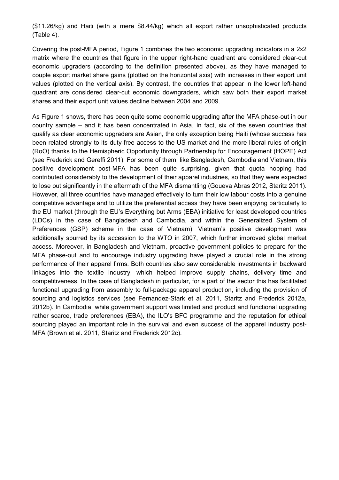(\$11.26/kg) and Haiti (with a mere \$8.44/kg) which all export rather unsophisticated products (Table 4).

Covering the post-MFA period, Figure 1 combines the two economic upgrading indicators in a 2x2 matrix where the countries that figure in the upper right-hand quadrant are considered clear-cut economic upgraders (according to the definition presented above), as they have managed to couple export market share gains (plotted on the horizontal axis) with increases in their export unit values (plotted on the vertical axis). By contrast, the countries that appear in the lower left-hand quadrant are considered clear-cut economic downgraders, which saw both their export market shares and their export unit values decline between 2004 and 2009.

As Figure 1 shows, there has been quite some economic upgrading after the MFA phase-out in our country sample – and it has been concentrated in Asia. In fact, six of the seven countries that qualify as clear economic upgraders are Asian, the only exception being Haiti (whose success has been related strongly to its duty-free access to the US market and the more liberal rules of origin (RoO) thanks to the Hemispheric Opportunity through Partnership for Encouragement (HOPE) Act (see Frederick and Gereffi 2011). For some of them, like Bangladesh, Cambodia and Vietnam, this positive development post-MFA has been quite surprising, given that quota hopping had contributed considerably to the development of their apparel industries, so that they were expected to lose out significantly in the aftermath of the MFA dismantling (Goueva Abras 2012, Staritz 2011). However, all three countries have managed effectively to turn their low labour costs into a genuine competitive advantage and to utilize the preferential access they have been enjoying particularly to the EU market (through the EU's Everything but Arms (EBA) initiative for least developed countries (LDCs) in the case of Bangladesh and Cambodia, and within the Generalized System of Preferences (GSP) scheme in the case of Vietnam). Vietnam's positive development was additionally spurred by its accession to the WTO in 2007, which further improved global market access. Moreover, in Bangladesh and Vietnam, proactive government policies to prepare for the MFA phase-out and to encourage industry upgrading have played a crucial role in the strong performance of their apparel firms. Both countries also saw considerable investments in backward linkages into the textile industry, which helped improve supply chains, delivery time and competitiveness. In the case of Bangladesh in particular, for a part of the sector this has facilitated functional upgrading from assembly to full-package apparel production, including the provision of sourcing and logistics services (see Fernandez-Stark et al. 2011, Staritz and Frederick 2012a, 2012b). In Cambodia, while government support was limited and product and functional upgrading rather scarce, trade preferences (EBA), the ILO's BFC programme and the reputation for ethical sourcing played an important role in the survival and even success of the apparel industry post-MFA (Brown et al. 2011, Staritz and Frederick 2012c).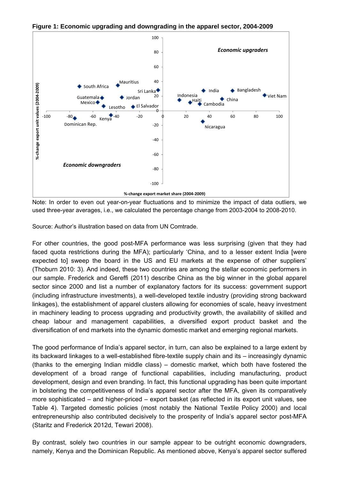**Figure 1: Economic upgrading and downgrading in the apparel sector, 2004-2009** 



Note: In order to even out year-on-year fluctuations and to minimize the impact of data outliers, we used three-year averages, i.e., we calculated the percentage change from 2003-2004 to 2008-2010.

Source: Author's illustration based on data from UN Comtrade.

For other countries, the good post-MFA performance was less surprising (given that they had faced quota restrictions during the MFA); particularly 'China, and to a lesser extent India [were expected to] sweep the board in the US and EU markets at the expense of other suppliers' (Thoburn 2010: 3). And indeed, these two countries are among the stellar economic performers in our sample. Frederick and Gereffi (2011) describe China as the big winner in the global apparel sector since 2000 and list a number of explanatory factors for its success: government support (including infrastructure investments), a well-developed textile industry (providing strong backward linkages), the establishment of apparel clusters allowing for economies of scale, heavy investment in machinery leading to process upgrading and productivity growth, the availability of skilled and cheap labour and management capabilities, a diversified export product basket and the diversification of end markets into the dynamic domestic market and emerging regional markets.

The good performance of India's apparel sector, in turn, can also be explained to a large extent by its backward linkages to a well-established fibre-textile supply chain and its – increasingly dynamic (thanks to the emerging Indian middle class) – domestic market, which both have fostered the development of a broad range of functional capabilities, including manufacturing, product development, design and even branding. In fact, this functional upgrading has been quite important in bolstering the competitiveness of India's apparel sector after the MFA, given its comparatively more sophisticated – and higher-priced – export basket (as reflected in its export unit values, see Table 4). Targeted domestic policies (most notably the National Textile Policy 2000) and local entrepreneurship also contributed decisively to the prosperity of India's apparel sector post-MFA (Staritz and Frederick 2012d, Tewari 2008).

By contrast, solely two countries in our sample appear to be outright economic downgraders, namely, Kenya and the Dominican Republic. As mentioned above, Kenya's apparel sector suffered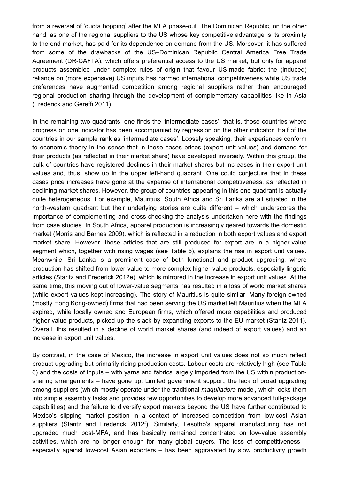from a reversal of 'quota hopping' after the MFA phase-out. The Dominican Republic, on the other hand, as one of the regional suppliers to the US whose key competitive advantage is its proximity to the end market, has paid for its dependence on demand from the US. Moreover, it has suffered from some of the drawbacks of the US–Dominican Republic Central America Free Trade Agreement (DR-CAFTA), which offers preferential access to the US market, but only for apparel products assembled under complex rules of origin that favour US-made fabric: the (induced) reliance on (more expensive) US inputs has harmed international competitiveness while US trade preferences have augmented competition among regional suppliers rather than encouraged regional production sharing through the development of complementary capabilities like in Asia (Frederick and Gereffi 2011).

In the remaining two quadrants, one finds the 'intermediate cases', that is, those countries where progress on one indicator has been accompanied by regression on the other indicator. Half of the countries in our sample rank as 'intermediate cases'. Loosely speaking, their experiences conform to economic theory in the sense that in these cases prices (export unit values) and demand for their products (as reflected in their market share) have developed inversely. Within this group, the bulk of countries have registered declines in their market shares but increases in their export unit values and, thus, show up in the upper left-hand quadrant. One could conjecture that in these cases price increases have gone at the expense of international competitiveness, as reflected in declining market shares. However, the group of countries appearing in this one quadrant is actually quite heterogeneous. For example, Mauritius, South Africa and Sri Lanka are all situated in the north-western quadrant but their underlying stories are quite different – which underscores the importance of complementing and cross-checking the analysis undertaken here with the findings from case studies. In South Africa, apparel production is increasingly geared towards the domestic market (Morris and Barnes 2009), which is reflected in a reduction in both export values and export market share. However, those articles that are still produced for export are in a higher-value segment which, together with rising wages (see Table 6), explains the rise in export unit values. Meanwhile, Sri Lanka is a prominent case of both functional and product upgrading, where production has shifted from lower-value to more complex higher-value products, especially lingerie articles (Staritz and Frederick 2012e), which is mirrored in the increase in export unit values. At the same time, this moving out of lower-value segments has resulted in a loss of world market shares (while export values kept increasing). The story of Mauritius is quite similar. Many foreign-owned (mostly Hong Kong-owned) firms that had been serving the US market left Mauritius when the MFA expired, while locally owned and European firms, which offered more capabilities and produced higher-value products, picked up the slack by expanding exports to the EU market (Staritz 2011). Overall, this resulted in a decline of world market shares (and indeed of export values) and an increase in export unit values.

By contrast, in the case of Mexico, the increase in export unit values does not so much reflect product upgrading but primarily rising production costs. Labour costs are relatively high (see Table 6) and the costs of inputs – with yarns and fabrics largely imported from the US within productionsharing arrangements – have gone up. Limited government support, the lack of broad upgrading among suppliers (which mostly operate under the traditional *maquiladora* model, which locks them into simple assembly tasks and provides few opportunities to develop more advanced full-package capabilities) and the failure to diversify export markets beyond the US have further contributed to Mexico's slipping market position in a context of increased competition from low-cost Asian suppliers (Staritz and Frederick 2012f). Similarly, Lesotho's apparel manufacturing has not upgraded much post-MFA, and has basically remained concentrated on low-value assembly activities, which are no longer enough for many global buyers. The loss of competitiveness – especially against low-cost Asian exporters – has been aggravated by slow productivity growth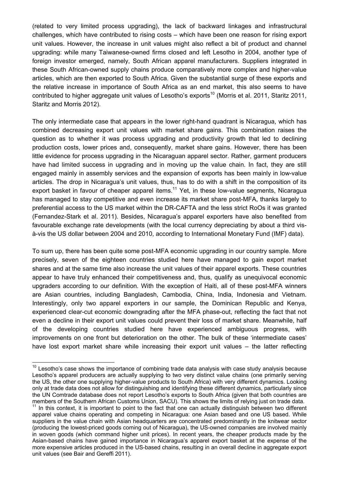(related to very limited process upgrading), the lack of backward linkages and infrastructural challenges, which have contributed to rising costs – which have been one reason for rising export unit values. However, the increase in unit values might also reflect a bit of product and channel upgrading: while many Taiwanese-owned firms closed and left Lesotho in 2004, another type of foreign investor emerged, namely, South African apparel manufacturers. Suppliers integrated in these South African-owned supply chains produce comparatively more complex and higher-value articles, which are then exported to South Africa. Given the substantial surge of these exports and the relative increase in importance of South Africa as an end market, this also seems to have contributed to higher aggregate unit values of Lesotho's exports<sup>10</sup> (Morris et al. 2011, Staritz 2011, Staritz and Morris 2012).

The only intermediate case that appears in the lower right-hand quadrant is Nicaragua, which has combined decreasing export unit values with market share gains. This combination raises the question as to whether it was process upgrading and productivity growth that led to declining production costs, lower prices and, consequently, market share gains. However, there has been little evidence for process upgrading in the Nicaraguan apparel sector. Rather, garment producers have had limited success in upgrading and in moving up the value chain. In fact, they are still engaged mainly in assembly services and the expansion of exports has been mainly in low-value articles. The drop in Nicaragua's unit values, thus, has to do with a shift in the composition of its export basket in favour of cheaper apparel items.<sup>11</sup> Yet, in these low-value segments, Nicaragua has managed to stay competitive and even increase its market share post-MFA, thanks largely to preferential access to the US market within the DR-CAFTA and the less strict RoOs it was granted (Fernandez-Stark et al. 2011). Besides, Nicaragua's apparel exporters have also benefited from favourable exchange rate developments (with the local currency depreciating by about a third visà-vis the US dollar between 2004 and 2010, according to International Monetary Fund (IMF) data).

To sum up, there has been quite some post-MFA economic upgrading in our country sample. More precisely, seven of the eighteen countries studied here have managed to gain export market shares and at the same time also increase the unit values of their apparel exports. These countries appear to have truly enhanced their competitiveness and, thus, qualify as unequivocal economic upgraders according to our definition. With the exception of Haiti, all of these post-MFA winners are Asian countries, including Bangladesh, Cambodia, China, India, Indonesia and Vietnam. Interestingly, only two apparel exporters in our sample, the Dominican Republic and Kenya, experienced clear-cut economic downgrading after the MFA phase-out, reflecting the fact that not even a decline in their export unit values could prevent their loss of market share. Meanwhile, half of the developing countries studied here have experienced ambiguous progress, with improvements on one front but deterioration on the other. The bulk of these 'intermediate cases' have lost export market share while increasing their export unit values – the latter reflecting

 $10$  Lesotho's case shows the importance of combining trade data analysis with case study analysis because Lesotho's apparel producers are actually supplying to two very distinct value chains (one primarily serving the US, the other one supplying higher-value products to South Africa) with very different dynamics. Looking only at trade data does not allow for distinguishing and identifying these different dynamics, particularly since the UN Comtrade database does not report Lesotho's exports to South Africa (given that both countries are members of the Southern African Customs Union, SACU). This shows the limits of relying just on trade data.<br><sup>11</sup> In this context, it is important to point to the fact that one can actually distinguish between two different

apparel value chains operating and competing in Nicaragua: one Asian based and one US based. While suppliers in the value chain with Asian headquarters are concentrated predominantly in the knitwear sector (producing the lowest-priced goods coming out of Nicaragua), the US-owned companies are involved mainly in woven goods (which command higher unit prices). In recent years, the cheaper products made by the Asian-based chains have gained importance in Nicaragua's apparel export basket at the expense of the more expensive articles produced in the US-based chains, resulting in an overall decline in aggregate export unit values (see Bair and Gereffi 2011).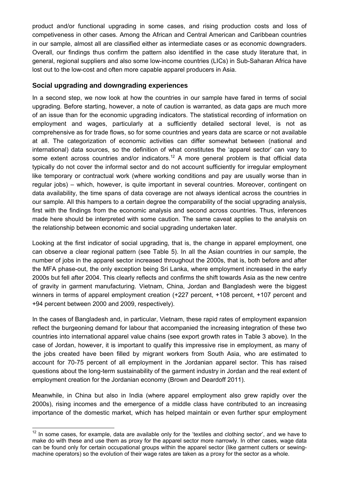product and/or functional upgrading in some cases, and rising production costs and loss of competiveness in other cases. Among the African and Central American and Caribbean countries in our sample, almost all are classified either as intermediate cases or as economic downgraders. Overall, our findings thus confirm the pattern also identified in the case study literature that, in general, regional suppliers and also some low-income countries (LICs) in Sub-Saharan Africa have lost out to the low-cost and often more capable apparel producers in Asia.

#### **Social upgrading and downgrading experiences**

In a second step, we now look at how the countries in our sample have fared in terms of social upgrading. Before starting, however, a note of caution is warranted, as data gaps are much more of an issue than for the economic upgrading indicators. The statistical recording of information on employment and wages, particularly at a sufficiently detailed sectoral level, is not as comprehensive as for trade flows, so for some countries and years data are scarce or not available at all. The categorization of economic activities can differ somewhat between (national and international) data sources, so the definition of what constitutes the 'apparel sector' can vary to some extent across countries and/or indicators.<sup>12</sup> A more general problem is that official data typically do not cover the informal sector and do not account sufficiently for irregular employment like temporary or contractual work (where working conditions and pay are usually worse than in regular jobs) – which, however, is quite important in several countries. Moreover, contingent on data availability, the time spans of data coverage are not always identical across the countries in our sample. All this hampers to a certain degree the comparability of the social upgrading analysis, first with the findings from the economic analysis and second across countries. Thus, inferences made here should be interpreted with some caution. The same caveat applies to the analysis on the relationship between economic and social upgrading undertaken later.

Looking at the first indicator of social upgrading, that is, the change in apparel employment, one can observe a clear regional pattern (see Table 5). In all the Asian countries in our sample, the number of jobs in the apparel sector increased throughout the 2000s, that is, both before and after the MFA phase-out, the only exception being Sri Lanka, where employment increased in the early 2000s but fell after 2004. This clearly reflects and confirms the shift towards Asia as the new centre of gravity in garment manufacturing. Vietnam, China, Jordan and Bangladesh were the biggest winners in terms of apparel employment creation (+227 percent, +108 percent, +107 percent and +94 percent between 2000 and 2009, respectively).

In the cases of Bangladesh and, in particular, Vietnam, these rapid rates of employment expansion reflect the burgeoning demand for labour that accompanied the increasing integration of these two countries into international apparel value chains (see export growth rates in Table 3 above). In the case of Jordan, however, it is important to qualify this impressive rise in employment, as many of the jobs created have been filled by migrant workers from South Asia, who are estimated to account for 70-75 percent of all employment in the Jordanian apparel sector. This has raised questions about the long-term sustainability of the garment industry in Jordan and the real extent of employment creation for the Jordanian economy (Brown and Deardoff 2011).

Meanwhile, in China but also in India (where apparel employment also grew rapidly over the 2000s), rising incomes and the emergence of a middle class have contributed to an increasing importance of the domestic market, which has helped maintain or even further spur employment

  $12$  In some cases, for example, data are available only for the 'textiles and clothing sector', and we have to make do with these and use them as proxy for the apparel sector more narrowly. In other cases, wage data can be found only for certain occupational groups within the apparel sector (like garment cutters or sewingmachine operators) so the evolution of their wage rates are taken as a proxy for the sector as a whole.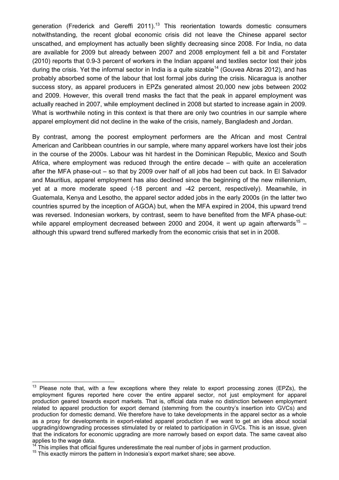generation (Frederick and Gereffi 2011).<sup>13</sup> This reorientation towards domestic consumers notwithstanding, the recent global economic crisis did not leave the Chinese apparel sector unscathed, and employment has actually been slightly decreasing since 2008. For India, no data are available for 2009 but already between 2007 and 2008 employment fell a bit and Forstater (2010) reports that 0.9-3 percent of workers in the Indian apparel and textiles sector lost their jobs during the crisis. Yet the informal sector in India is a quite sizable<sup>14</sup> (Gouvea Abras 2012), and has probably absorbed some of the labour that lost formal jobs during the crisis. Nicaragua is another success story, as apparel producers in EPZs generated almost 20,000 new jobs between 2002 and 2009. However, this overall trend masks the fact that the peak in apparel employment was actually reached in 2007, while employment declined in 2008 but started to increase again in 2009. What is worthwhile noting in this context is that there are only two countries in our sample where apparel employment did not decline in the wake of the crisis, namely, Bangladesh and Jordan.

By contrast, among the poorest employment performers are the African and most Central American and Caribbean countries in our sample, where many apparel workers have lost their jobs in the course of the 2000s. Labour was hit hardest in the Dominican Republic, Mexico and South Africa, where employment was reduced through the entire decade – with quite an acceleration after the MFA phase-out – so that by 2009 over half of all jobs had been cut back. In El Salvador and Mauritius, apparel employment has also declined since the beginning of the new millennium, yet at a more moderate speed (-18 percent and -42 percent, respectively). Meanwhile, in Guatemala, Kenya and Lesotho, the apparel sector added jobs in the early 2000s (in the latter two countries spurred by the inception of AGOA) but, when the MFA expired in 2004, this upward trend was reversed. Indonesian workers, by contrast, seem to have benefited from the MFA phase-out: while apparel employment decreased between 2000 and 2004, it went up again afterwards<sup>15</sup> – although this upward trend suffered markedly from the economic crisis that set in in 2008.

<sup>&</sup>lt;u> 1980 - Andrea Andrew Maria (h. 1980).</u><br>1980 - Andrew Maria (h. 1980).  $13$  Please note that, with a few exceptions where they relate to export processing zones (EPZs), the employment figures reported here cover the entire apparel sector, not just employment for apparel production geared towards export markets. That is, official data make no distinction between employment related to apparel production for export demand (stemming from the country's insertion into GVCs) and production for domestic demand. We therefore have to take developments in the apparel sector as a whole as a proxy for developments in export-related apparel production if we want to get an idea about social upgrading/downgrading processes stimulated by or related to participation in GVCs. This is an issue, given that the indicators for economic upgrading are more narrowly based on export data. The same caveat also applies to the wage data.<br><sup>14</sup> This implies that official figures underestimate the real number of jobs in garment production.

 $15$  This exactly mirrors the pattern in Indonesia's export market share; see above.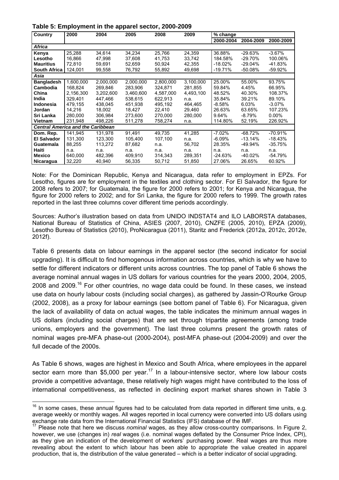| <b>Country</b>                           | 2000      | 2004      | 2005      | 2008      | 2009      | % change   |           |           |  |
|------------------------------------------|-----------|-----------|-----------|-----------|-----------|------------|-----------|-----------|--|
|                                          |           |           |           |           |           | 2000-2004  | 2004-2009 | 2000-2009 |  |
| <b>Africa</b>                            |           |           |           |           |           |            |           |           |  |
| Kenya                                    | 25,288    | 34,614    | 34,234    | 25,766    | 24,359    | 36.88%     | $-29.63%$ | $-3.67\%$ |  |
| Lesotho                                  | 16,866    | 47,998    | 37,608    | 41,753    | 33,742    | 184.58%    | $-29.70%$ | 100.06%   |  |
| <b>Mauritius</b>                         | 72,810    | 59,691    | 52,659    | 50,924    | 42,355    | $-18.02\%$ | $-29.04%$ | -41.83%   |  |
| <b>South Africa</b>                      | 124,001   | 99,558    | 76,792    | 55,892    | 49,698    | $-19.71%$  | $-50.08%$ | -59.92%   |  |
| Asia                                     |           |           |           |           |           |            |           |           |  |
| <b>Bangladesh</b>                        | 1,600,000 | 2,000,000 | 2,000,000 | 2,800,000 | 3,100,000 | 25.00%     | 55.00%    | 93.75%    |  |
| Cambodia                                 | 168,824   | 269,846   | 283,906   | 324,871   | 281,855   | 59.84%     | 4.45%     | 66.95%    |  |
| China                                    | 2,156,300 | 3,202,600 | 3,460,600 | 4,587,000 | 4,493,100 | 48.52%     | 40.30%    | 108.37%   |  |
| India                                    | 329.401   | 447.466   | 538.615   | 622,913   | n.a.      | 35.84%     | 39.21%    | 89.10%    |  |
| <b>Indonesia</b>                         | 479,155   | 438.045   | 451.938   | 495.192   | 464.465   | $-8.58\%$  | 6.03%     | $-3.07\%$ |  |
| Jordan                                   | 14,216    | 18,002    | 18,427    | 22,410    | 29,460    | 26.63%     | 63.65%    | 107.23%   |  |
| Sri Lanka                                | 280,000   | 306.984   | 273.600   | 270.000   | 280,000   | 9.64%      | $-8.79%$  | $0.00\%$  |  |
| Vietnam                                  | 231,948   | 498,226   | 511,278   | 758,274   | n.a.      | 114.80%    | 52.19%    | 226.92%   |  |
| <b>Central America and the Caribbean</b> |           |           |           |           |           |            |           |           |  |
| Dom. Rep.                                | 141.945   | 131,978   | 91,491    | 49,735    | 41,285    | $-7.02%$   | $-68.72%$ | $-70.91%$ |  |
| <b>El Salvador</b>                       | 131.300   | 123.300   | 105.400   | 107,100   | n.a.      | -6.09%     | $-13.14%$ | $-18.43%$ |  |
| Guatemala                                | 88.255    | 113,272   | 87.682    | n.a.      | 56,702    | 28.35%     | $-49.94%$ | $-35.75%$ |  |
| Haiti                                    | n.a.      | n.a.      | n.a.      | n.a.      | n.a.      | n.a.       | n.a.      | n.a.      |  |
| Mexico                                   | 640.000   | 482,396   | 409,910   | 314,343   | 289,351   | -24.63%    | $-40.02%$ | -54.79%   |  |
| <b>Nicaragua</b>                         | 32,220    | 40,940    | 56,335    | 50,712    | 51,850    | 27.06%     | 26.65%    | 60.92%    |  |

**Table 5: Employment in the apparel sector, 2000-2009** 

Note: For the Dominican Republic, Kenya and Nicaragua, data refer to employment in EPZs. For Lesotho, figures are for employment in the textiles and clothing sector. For El Salvador, the figure for 2008 refers to 2007; for Guatemala, the figure for 2000 refers to 2001; for Kenya and Nicaragua, the figure for 2000 refers to 2002; and for Sri Lanka, the figure for 2000 refers to 1999. The growth rates reported in the last three columns cover different time periods accordingly.

Sources: Author's illustration based on data from UNIDO INDSTAT4 and ILO LABORSTA databases, National Bureau of Statistics of China, ASIES (2007, 2010), CNZFE (2005, 2010), EPZA (2009), Lesotho Bureau of Statistics (2010), ProNicaragua (2011), Staritz and Frederick (2012a, 2012c, 2012e, 2012f).

Table 6 presents data on labour earnings in the apparel sector (the second indicator for social upgrading). It is difficult to find homogenous information across countries, which is why we have to settle for different indicators or different units across countries. The top panel of Table 6 shows the average nominal annual wages in US dollars for various countries for the years 2000, 2004, 2005, 2008 and 2009.<sup>16</sup> For other countries, no wage data could be found. In these cases, we instead use data on hourly labour costs (including social charges), as gathered by Jassin-O'Rourke Group (2002, 2008), as a proxy for labour earnings (see bottom panel of Table 6). For Nicaragua, given the lack of availability of data on actual wages, the table indicates the minimum annual wages in US dollars (including social charges) that are set through tripartite agreements (among trade unions, employers and the government). The last three columns present the growth rates of nominal wages pre-MFA phase-out (2000-2004), post-MFA phase-out (2004-2009) and over the full decade of the 2000s.

As Table 6 shows, wages are highest in Mexico and South Africa, where employees in the apparel sector earn more than \$5,000 per year.<sup>17</sup> In a labour-intensive sector, where low labour costs provide a competitive advantage, these relatively high wages might have contributed to the loss of international competitiveness, as reflected in declining export market shares shown in Table 3

<sup>&</sup>lt;u> 1989 - Andrea Andrew Maria (h. 1989).</u><br>1901 - Andrew Maria (h. 1902).  $16$  In some cases, these annual figures had to be calculated from data reported in different time units, e.g. average weekly or monthly wages. All wages reported in local currency were converted into US dollars using exchange rate data from the International Financial Statistics (IFS) database of the IMF.

<sup>&</sup>lt;sup>17</sup> Please note that here we discuss *nominal* wages, as they allow cross-country comparisons. In Figure 2, however, we use (changes in) *real* wages (i.e. nominal wages deflated by the Consumer Price Index, CPI), as they give an indication of the development of workers' purchasing power. Real wages are thus more revealing about the extent to which labour has been able to appropriate the value created in apparel production, that is, the distribution of the value generated – which is a better indicator of social upgrading.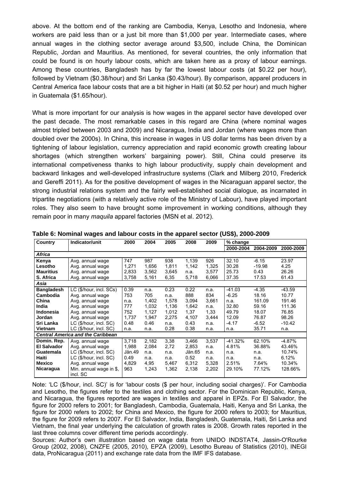above. At the bottom end of the ranking are Cambodia, Kenya, Lesotho and Indonesia, where workers are paid less than or a just bit more than \$1,000 per year. Intermediate cases, where annual wages in the clothing sector average around \$3,500, include China, the Dominican Republic, Jordan and Mauritius. As mentioned, for several countries, the only information that could be found is on hourly labour costs, which are taken here as a proxy of labour earnings. Among these countries, Bangladesh has by far the lowest labour costs (at \$0.22 per hour), followed by Vietnam (\$0.38/hour) and Sri Lanka (\$0.43/hour). By comparison, apparel producers in Central America face labour costs that are a bit higher in Haiti (at \$0.52 per hour) and much higher in Guatemala (\$1.65/hour).

What is more important for our analysis is how wages in the apparel sector have developed over the past decade. The most remarkable cases in this regard are China (where nominal wages almost tripled between 2003 and 2009) and Nicaragua, India and Jordan (where wages more than doubled over the 2000s). In China, this increase in wages in US dollar terms has been driven by a tightening of labour legislation, currency appreciation and rapid economic growth creating labour shortages (which strengthen workers' bargaining power). Still, China could preserve its international competiveness thanks to high labour productivity, supply chain development and backward linkages and well-developed infrastructure systems (Clark and Milberg 2010, Frederick and Gereffi 2011). As for the positive development of wages in the Nicaraguan apparel sector, the strong industrial relations system and the fairly well-established social dialogue, as incarnated in tripartite negotiations (with a relatively active role of the Ministry of Labour), have played important roles. They also seem to have brought some improvement in working conditions, although they remain poor in many *maquila* apparel factories (MSN et al. 2012).

| <b>Country</b>     | Indicator/unit                           | 2000   | 2004  | 2005  | 2008   | 2009  | % change  |           |           |
|--------------------|------------------------------------------|--------|-------|-------|--------|-------|-----------|-----------|-----------|
|                    |                                          |        |       |       |        |       | 2000-2004 | 2004-2009 | 2000-2009 |
| <b>Africa</b>      |                                          |        |       |       |        |       |           |           |           |
| Kenya              | Avg. annual wage                         | 747    | 987   | 938   | 1,139  | 926   | 32.10     | $-6.15$   | 23.97     |
| Lesotho            | Avg. annual wage                         | 1,271  | 1,656 | 1,811 | 1,142  | 1,325 | 30.28     | $-19.98$  | 4.25      |
| <b>Mauritius</b>   | Avg. annual wage                         | 2,833  | 3,562 | 3,645 | n.a.   | 3,577 | 25.73     | 0.43      | 26.26     |
| S. Africa          | Avg. annual wage                         | 3,758  | 5,161 | 6,35  | 5,718  | 6,066 | 37.35     | 17.53     | 61.43     |
| Asia               |                                          |        |       |       |        |       |           |           |           |
| <b>Bangladesh</b>  | LC (\$/hour, incl. SCs)                  | 0.39   | n.a.  | 0.23  | 0.22   | n.a.  | $-41.03$  | $-4.35$   | $-43.59$  |
| <b>Cambodia</b>    | Avg. annual wage                         | 753    | 705   | n.a.  | 888    | 834   | -6.25     | 18.16     | 10.77     |
| China              | Avg. annual wage                         | n.a.   | 1,402 | 1,578 | 3,094  | 3,661 | n.a.      | 161.09    | 191.46    |
| India              | Avg. annual wage                         | 777    | 1,032 | 1,136 | 1,642  | n.a.  | 32.80     | 59.16     | 111.36    |
| Indonesia          | Avg. annual wage                         | 752    | 1,127 | 1,012 | 1,37   | 1,33  | 49.79     | 18.07     | 76.85     |
| Jordan             | Avg. annual wage                         | 1.737  | 1.947 | 2,275 | 4,107  | 3,444 | 12.09     | 76.87     | 98.26     |
| Sri Lanka          | LC (\$/hour, incl. SC)                   | 0.48   | 0.46  | n.a.  | 0.43   | n.a.  | -4.17     | $-6.52$   | $-10.42$  |
| Vietnam            | LC (\$/hour, incl. SC)                   | n.a.   | n.a.  | 0.28  | 0.38   | n.a.  | n.a.      | 35.71     | n.a.      |
|                    | <b>Central America and the Caribbean</b> |        |       |       |        |       |           |           |           |
| Domin. Rep.        | Avg. annual wage                         | 3,718  | 2,182 | 3,38  | 3,466  | 3,537 | -41.32%   | 62.10%    | $-4.87%$  |
| <b>El Salvador</b> | Avg. annual wage                         | 1,988  | 2,084 | 2,72  | 2,853  | n.a.  | 4.81%     | 36.88%    | 43.46%    |
| Guatemala          | LC (\$/hour, incl. SC)                   | Jän.49 | n.a.  | n.a.  | Jän.65 | n.a.  | n.a.      | n.a.      | 10.74%    |
| Haiti              | LC (\$/hour, incl. SC)                   | 0.49   | n.a.  | n.a.  | 0.52   | n.a.  | n.a.      | n.a.      | 6.12%     |
| Mexico             | Avg. annual wage                         | 4,829  | 4,95  | 5,467 | 6,312  | 5,328 | 2.51%     | 7.64%     | 10.34%    |
| Nicaragua          | Min. annual wage in \$,<br>incl. SC      | 963    | 1,243 | 1,362 | 2,138  | 2,202 | 29.10%    | 77.12%    | 128.66%   |

**Table 6: Nominal wages and labour costs in the apparel sector (US\$), 2000-2009** 

Note: 'LC (\$/hour, incl. SC)' is for 'labour costs (\$ per hour, including social charges)'. For Cambodia and Lesotho, the figures refer to the textiles and clothing sector. For the Dominican Republic, Kenya, and Nicaragua, the figures reported are wages in textiles and apparel in EPZs. For El Salvador, the figure for 2000 refers to 2001; for Bangladesh, Cambodia, Guatemala, Haiti, Kenya and Sri Lanka, the figure for 2000 refers to 2002; for China and Mexico, the figure for 2000 refers to 2003; for Mauritius, the figure for 2009 refers to 2007. For El Salvador, India, Bangladesh, Guatemala, Haiti, Sri Lanka and Vietnam, the final year underlying the calculation of growth rates is 2008. Growth rates reported in the last three columns cover different time periods accordingly.

Sources: Author's own illustration based on wage data from UNIDO INDSTAT4, Jassin-O'Rourke Group (2002, 2008), CNZFE (2005, 2010), EPZA (2009), Lesotho Bureau of Statistics (2010), INEGI data, ProNicaragua (2011) and exchange rate data from the IMF IFS database.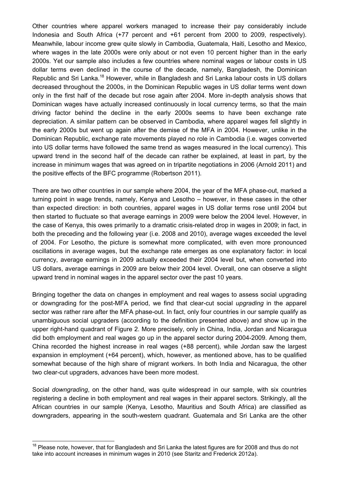Other countries where apparel workers managed to increase their pay considerably include Indonesia and South Africa (+77 percent and +61 percent from 2000 to 2009, respectively). Meanwhile, labour income grew quite slowly in Cambodia, Guatemala, Haiti, Lesotho and Mexico, where wages in the late 2000s were only about or not even 10 percent higher than in the early 2000s. Yet our sample also includes a few countries where nominal wages or labour costs in US dollar terms even declined in the course of the decade, namely, Bangladesh, the Dominican Republic and Sri Lanka.<sup>18</sup> However, while in Bangladesh and Sri Lanka labour costs in US dollars decreased throughout the 2000s, in the Dominican Republic wages in US dollar terms went down only in the first half of the decade but rose again after 2004. More in-depth analysis shows that Dominican wages have actually increased continuously in local currency terms, so that the main driving factor behind the decline in the early 2000s seems to have been exchange rate depreciation. A similar pattern can be observed in Cambodia, where apparel wages fell slightly in the early 2000s but went up again after the demise of the MFA in 2004. However, unlike in the Dominican Republic, exchange rate movements played no role in Cambodia (i.e. wages converted into US dollar terms have followed the same trend as wages measured in the local currency). This upward trend in the second half of the decade can rather be explained, at least in part, by the increase in minimum wages that was agreed on in tripartite negotiations in 2006 (Arnold 2011) and the positive effects of the BFC programme (Robertson 2011).

There are two other countries in our sample where 2004, the year of the MFA phase-out, marked a turning point in wage trends, namely, Kenya and Lesotho – however, in these cases in the other than expected direction: in both countries, apparel wages in US dollar terms rose until 2004 but then started to fluctuate so that average earnings in 2009 were below the 2004 level. However, in the case of Kenya, this owes primarily to a dramatic crisis-related drop in wages in 2009; in fact, in both the preceding and the following year (i.e. 2008 and 2010), average wages exceeded the level of 2004. For Lesotho, the picture is somewhat more complicated, with even more pronounced oscillations in average wages, but the exchange rate emerges as one explanatory factor: in local currency, average earnings in 2009 actually exceeded their 2004 level but, when converted into US dollars, average earnings in 2009 are below their 2004 level. Overall, one can observe a slight upward trend in nominal wages in the apparel sector over the past 10 years.

Bringing together the data on changes in employment and real wages to assess social upgrading or downgrading for the post-MFA period, we find that clear-cut social *upgrading* in the apparel sector was rather rare after the MFA phase-out. In fact, only four countries in our sample qualify as unambiguous social upgraders (according to the definition presented above) and show up in the upper right-hand quadrant of Figure 2. More precisely, only in China, India, Jordan and Nicaragua did both employment and real wages go up in the apparel sector during 2004-2009. Among them, China recorded the highest increase in real wages (+88 percent), while Jordan saw the largest expansion in employment (+64 percent), which, however, as mentioned above, has to be qualified somewhat because of the high share of migrant workers. In both India and Nicaragua, the other two clear-cut upgraders, advances have been more modest.

Social *downgrading*, on the other hand, was quite widespread in our sample, with six countries registering a decline in both employment and real wages in their apparel sectors. Strikingly, all the African countries in our sample (Kenya, Lesotho, Mauritius and South Africa) are classified as downgraders, appearing in the south-western quadrant. Guatemala and Sri Lanka are the other

<u> 1989 - Andrea Albert III, martin amerikan bahasa dalam pengaran pengaran pengaran pengaran pengaran pengaran</u>

 $18$  Please note, however, that for Bangladesh and Sri Lanka the latest figures are for 2008 and thus do not take into account increases in minimum wages in 2010 (see Staritz and Frederick 2012a).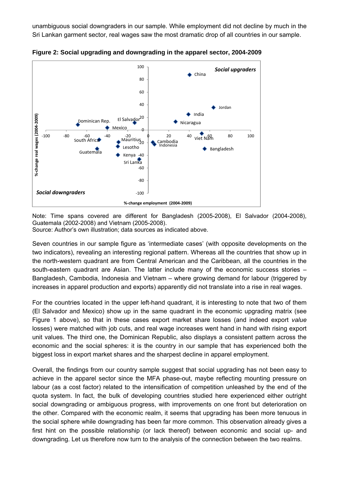unambiguous social downgraders in our sample. While employment did not decline by much in the Sri Lankan garment sector, real wages saw the most dramatic drop of all countries in our sample.



**Figure 2: Social upgrading and downgrading in the apparel sector, 2004-2009** 

Note: Time spans covered are different for Bangladesh (2005-2008), El Salvador (2004-2008), Guatemala (2002-2008) and Vietnam (2005-2008). Source: Author's own illustration; data sources as indicated above.

Seven countries in our sample figure as 'intermediate cases' (with opposite developments on the two indicators), revealing an interesting regional pattern. Whereas all the countries that show up in the north-western quadrant are from Central American and the Caribbean, all the countries in the south-eastern quadrant are Asian. The latter include many of the economic success stories – Bangladesh, Cambodia, Indonesia and Vietnam – where growing demand for labour (triggered by increases in apparel production and exports) apparently did not translate into a rise in real wages.

For the countries located in the upper left-hand quadrant, it is interesting to note that two of them (El Salvador and Mexico) show up in the same quadrant in the economic upgrading matrix (see Figure 1 above), so that in these cases export market share losses (and indeed export *value* losses) were matched with job cuts, and real wage increases went hand in hand with rising export unit values. The third one, the Dominican Republic, also displays a consistent pattern across the economic and the social spheres: it is the country in our sample that has experienced both the biggest loss in export market shares and the sharpest decline in apparel employment.

Overall, the findings from our country sample suggest that social upgrading has not been easy to achieve in the apparel sector since the MFA phase-out, maybe reflecting mounting pressure on labour (as a cost factor) related to the intensification of competition unleashed by the end of the quota system. In fact, the bulk of developing countries studied here experienced either outright social downgrading or ambiguous progress, with improvements on one front but deterioration on the other. Compared with the economic realm, it seems that upgrading has been more tenuous in the social sphere while downgrading has been far more common. This observation already gives a first hint on the possible relationship (or lack thereof) between economic and social up- and downgrading. Let us therefore now turn to the analysis of the connection between the two realms.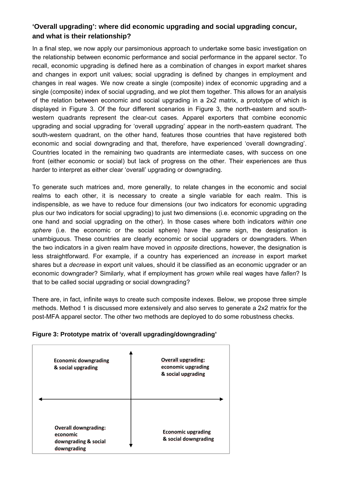# **'Overall upgrading': where did economic upgrading and social upgrading concur, and what is their relationship?**

In a final step, we now apply our parsimonious approach to undertake some basic investigation on the relationship between economic performance and social performance in the apparel sector. To recall, economic upgrading is defined here as a combination of changes in export market shares and changes in export unit values; social upgrading is defined by changes in employment and changes in real wages. We now create a single (composite) index of economic upgrading and a single (composite) index of social upgrading, and we plot them together. This allows for an analysis of the relation between economic and social upgrading in a 2x2 matrix, a prototype of which is displayed in Figure 3. Of the four different scenarios in Figure 3, the north-eastern and southwestern quadrants represent the clear-cut cases. Apparel exporters that combine economic upgrading and social upgrading for 'overall upgrading' appear in the north-eastern quadrant. The south-western quadrant, on the other hand, features those countries that have registered both economic and social downgrading and that, therefore, have experienced 'overall downgrading'. Countries located in the remaining two quadrants are intermediate cases, with success on one front (either economic or social) but lack of progress on the other. Their experiences are thus harder to interpret as either clear 'overall' upgrading or downgrading.

To generate such matrices and, more generally, to relate changes in the economic and social realms to each other, it is necessary to create a single variable for each realm. This is indispensible, as we have to reduce four dimensions (our two indicators for economic upgrading plus our two indicators for social upgrading) to just two dimensions (i.e. economic upgrading on the one hand and social upgrading on the other). In those cases where both indicators *within one sphere* (i.e. the economic or the social sphere) have the *same* sign, the designation is unambiguous. These countries are clearly economic or social upgraders or downgraders. When the two indicators in a given realm have moved in *opposite* directions, however, the designation is less straightforward. For example, if a country has experienced an *increase* in export market shares but a *decrease* in export unit values, should it be classified as an economic upgrader or an economic downgrader? Similarly, what if employment has *grown* while real wages have *fallen*? Is that to be called social upgrading or social downgrading?

There are, in fact, infinite ways to create such composite indexes. Below, we propose three simple methods. Method 1 is discussed more extensively and also serves to generate a 2x2 matrix for the post-MFA apparel sector. The other two methods are deployed to do some robustness checks.



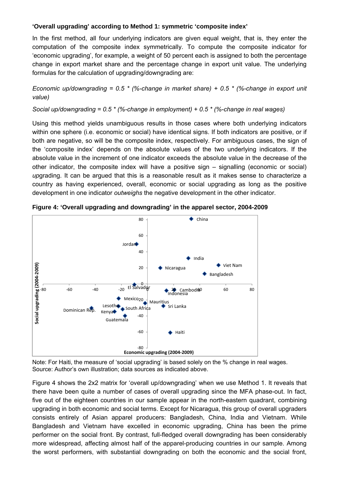#### **'Overall upgrading' according to Method 1: symmetric 'composite index'**

In the first method, all four underlying indicators are given equal weight, that is, they enter the computation of the composite index symmetrically. To compute the composite indicator for 'economic upgrading', for example, a weight of 50 percent each is assigned to both the percentage change in export market share and the percentage change in export unit value. The underlying formulas for the calculation of upgrading/downgrading are:

*Economic up/downgrading = 0.5 \* (%-change in market share) + 0.5 \* (%-change in export unit value)* 

*Social up/downgrading = 0.5 \* (%-change in employment) + 0.5 \* (%-change in real wages)* 

Using this method yields unambiguous results in those cases where both underlying indicators within one sphere (i.e. economic or social) have identical signs. If both indicators are positive, or if both are negative, so will be the composite index, respectively. For ambiguous cases, the sign of the 'composite index' depends on the absolute values of the two underlying indicators. If the absolute value in the increment of one indicator exceeds the absolute value in the decrease of the other indicator, the composite index will have a positive sign – signalling (economic or social) *up*grading. It can be argued that this is a reasonable result as it makes sense to characterize a country as having experienced, overall, economic or social upgrading as long as the positive development in one indicator *outweighs* the negative development in the other indicator.



**Figure 4: 'Overall upgrading and downgrading' in the apparel sector, 2004-2009** 

Note: For Haiti, the measure of 'social upgrading' is based solely on the % change in real wages. Source: Author's own illustration; data sources as indicated above.

Figure 4 shows the 2x2 matrix for 'overall up/downgrading' when we use Method 1. It reveals that there have been quite a number of cases of overall upgrading since the MFA phase-out. In fact, five out of the eighteen countries in our sample appear in the north-eastern quadrant, combining upgrading in both economic and social terms. Except for Nicaragua, this group of overall upgraders consists entirely of Asian apparel producers: Bangladesh, China, India and Vietnam. While Bangladesh and Vietnam have excelled in economic upgrading, China has been the prime performer on the social front. By contrast, full-fledged overall downgrading has been considerably more widespread, affecting almost half of the apparel-producing countries in our sample. Among the worst performers, with substantial downgrading on both the economic and the social front,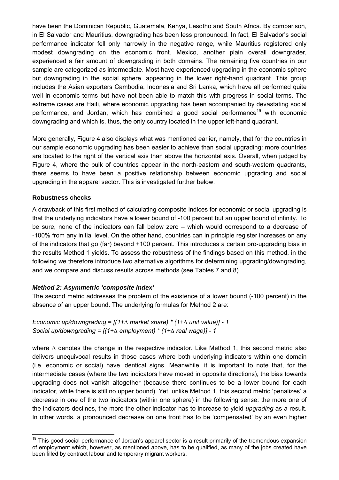have been the Dominican Republic, Guatemala, Kenya, Lesotho and South Africa. By comparison, in El Salvador and Mauritius, downgrading has been less pronounced. In fact, El Salvador's social performance indicator fell only narrowly in the negative range, while Mauritius registered only modest downgrading on the economic front. Mexico, another plain overall downgrader, experienced a fair amount of downgrading in both domains. The remaining five countries in our sample are categorized as intermediate. Most have experienced upgrading in the economic sphere but downgrading in the social sphere, appearing in the lower right-hand quadrant. This group includes the Asian exporters Cambodia, Indonesia and Sri Lanka, which have all performed quite well in economic terms but have not been able to match this with progress in social terms. The extreme cases are Haiti, where economic upgrading has been accompanied by devastating social performance, and Jordan, which has combined a good social performance<sup>19</sup> with economic downgrading and which is, thus, the only country located in the upper left-hand quadrant.

More generally, Figure 4 also displays what was mentioned earlier, namely, that for the countries in our sample economic upgrading has been easier to achieve than social upgrading: more countries are located to the right of the vertical axis than above the horizontal axis. Overall, when judged by Figure 4, where the bulk of countries appear in the north-eastern and south-western quadrants, there seems to have been a positive relationship between economic upgrading and social upgrading in the apparel sector. This is investigated further below.

#### **Robustness checks**

A drawback of this first method of calculating composite indices for economic or social upgrading is that the underlying indicators have a lower bound of -100 percent but an upper bound of infinity. To be sure, none of the indicators can fall below zero – which would correspond to a decrease of -100% from any initial level. On the other hand, countries can in principle register increases on any of the indicators that go (far) beyond +100 percent. This introduces a certain pro-upgrading bias in the results Method 1 yields. To assess the robustness of the findings based on this method, in the following we therefore introduce two alternative algorithms for determining upgrading/downgrading, and we compare and discuss results across methods (see Tables 7 and 8).

#### *Method 2: Asymmetric 'composite index'*

The second metric addresses the problem of the existence of a lower bound (-100 percent) in the absence of an upper bound. The underlying formulas for Method 2 are:

*Economic up/downgrading = [(1+∆ market share) \* (1+∆ unit value)] - 1 Social up/downgrading = [(1+∆ employment) \* (1+∆ real wage)] - 1*

where *∆* denotes the change in the respective indicator. Like Method 1, this second metric also delivers unequivocal results in those cases where both underlying indicators within one domain (i.e. economic or social) have identical signs. Meanwhile, it is important to note that, for the intermediate cases (where the two indicators have moved in opposite directions), the bias towards upgrading does not vanish altogether (because there continues to be a lower bound for each indicator, while there is still no upper bound). Yet, unlike Method 1, this second metric 'penalizes' a decrease in one of the two indicators (within one sphere) in the following sense: the more one of the indicators declines, the more the other indicator has to increase to yield *upgrading* as a result. In other words, a pronounced decrease on one front has to be 'compensated' by an even higher

 <sup>19</sup> This good social performance of Jordan's apparel sector is a result primarily of the tremendous expansion of employment which, however, as mentioned above, has to be qualified, as many of the jobs created have been filled by contract labour and temporary migrant workers.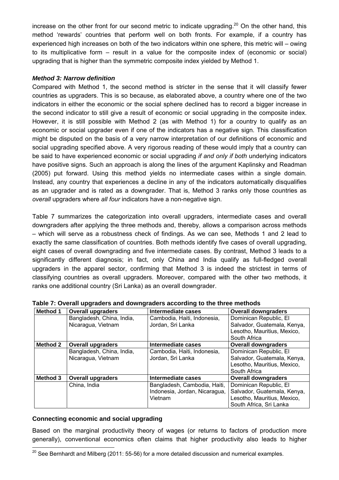increase on the other front for our second metric to indicate upgrading.<sup>20</sup> On the other hand, this method 'rewards' countries that perform well on both fronts. For example, if a country has experienced high increases on both of the two indicators within one sphere, this metric will – owing to its multiplicative form – result in a value for the composite index of (economic or social) upgrading that is higher than the symmetric composite index yielded by Method 1.

#### *Method 3: Narrow definition*

Compared with Method 1, the second method is stricter in the sense that it will classify fewer countries as upgraders. This is so because, as elaborated above, a country where one of the two indicators in either the economic or the social sphere declined has to record a bigger increase in the second indicator to still give a result of economic or social upgrading in the composite index. However, it is still possible with Method 2 (as with Method 1) for a country to qualify as an economic or social upgrader even if one of the indicators has a negative sign. This classification might be disputed on the basis of a very narrow interpretation of our definitions of economic and social upgrading specified above. A very rigorous reading of these would imply that a country can be said to have experienced economic or social upgrading *if and only if both* underlying indicators have positive signs. Such an approach is along the lines of the argument Kaplinsky and Readman (2005) put forward. Using this method yields no intermediate cases within a single domain. Instead, any country that experiences a decline in any of the indicators automatically disqualifies as an upgrader and is rated as a downgrader. That is, Method 3 ranks only those countries as *overall* upgraders where *all four* indicators have a non-negative sign.

Table 7 summarizes the categorization into overall upgraders, intermediate cases and overall downgraders after applying the three methods and, thereby, allows a comparison across methods – which will serve as a robustness check of findings. As we can see, Methods 1 and 2 lead to exactly the same classification of countries. Both methods identify five cases of overall upgrading, eight cases of overall downgrading and five intermediate cases. By contrast, Method 3 leads to a significantly different diagnosis; in fact, only China and India qualify as full-fledged overall upgraders in the apparel sector, confirming that Method 3 is indeed the strictest in terms of classifying countries as overall upgraders. Moreover, compared with the other two methods, it ranks one additional country (Sri Lanka) as an overall downgrader.

| <b>Method 1</b> | <b>Overall upgraders</b>  | Intermediate cases            | <b>Overall downgraders</b>  |
|-----------------|---------------------------|-------------------------------|-----------------------------|
|                 | Bangladesh, China, India, | Cambodia, Haiti, Indonesia,   | Dominican Republic, El      |
|                 | Nicaragua, Vietnam        | Jordan, Sri Lanka             | Salvador, Guatemala, Kenya, |
|                 |                           |                               | Lesotho, Mauritius, Mexico, |
|                 |                           |                               | South Africa                |
| <b>Method 2</b> | <b>Overall upgraders</b>  | Intermediate cases            | <b>Overall downgraders</b>  |
|                 | Bangladesh, China, India, | Cambodia, Haiti, Indonesia,   | Dominican Republic, El      |
|                 | Nicaragua, Vietnam        | Jordan, Sri Lanka             | Salvador, Guatemala, Kenya, |
|                 |                           |                               | Lesotho, Mauritius, Mexico, |
|                 |                           |                               | South Africa                |
| <b>Method 3</b> | <b>Overall upgraders</b>  | <b>Intermediate cases</b>     | <b>Overall downgraders</b>  |
|                 | China, India              | Bangladesh, Cambodia, Haiti,  | Dominican Republic, El      |
|                 |                           | Indonesia, Jordan, Nicaragua, | Salvador, Guatemala, Kenya, |
|                 |                           | Vietnam                       | Lesotho, Mauritius, Mexico, |
|                 |                           |                               | South Africa, Sri Lanka     |

|  | Table 7: Overall upgraders and downgraders according to the three methods |
|--|---------------------------------------------------------------------------|
|--|---------------------------------------------------------------------------|

#### **Connecting economic and social upgrading**

Based on the marginal productivity theory of wages (or returns to factors of production more generally), conventional economics often claims that higher productivity also leads to higher

  $^{20}$  See Bernhardt and Milberg (2011: 55-56) for a more detailed discussion and numerical examples.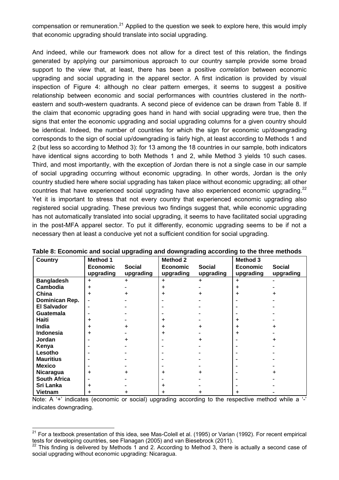compensation or remuneration.<sup>21</sup> Applied to the question we seek to explore here, this would imply that economic upgrading should translate into social upgrading.

And indeed, while our framework does not allow for a direct test of this relation, the findings generated by applying our parsimonious approach to our country sample provide some broad support to the view that, at least, there has been a positive *correlation* between economic upgrading and social upgrading in the apparel sector. A first indication is provided by visual inspection of Figure 4: although no clear pattern emerges, it seems to suggest a positive relationship between economic and social performances with countries clustered in the northeastern and south-western quadrants. A second piece of evidence can be drawn from Table 8. If the claim that economic upgrading goes hand in hand with social upgrading were true, then the signs that enter the economic upgrading and social upgrading columns for a given country should be identical. Indeed, the number of countries for which the sign for economic up/downgrading corresponds to the sign of social up/downgrading is fairly high, at least according to Methods 1 and 2 (but less so according to Method 3): for 13 among the 18 countries in our sample, both indicators have identical signs according to both Methods 1 and 2, while Method 3 yields 10 such cases. Third, and most importantly, with the exception of Jordan there is not a single case in our sample of social upgrading occurring without economic upgrading. In other words, Jordan is the only country studied here where social upgrading has taken place without economic upgrading; all other countries that have experienced social upgrading have also experienced economic upgrading. $^{22}$ Yet it is important to stress that not every country that experienced economic upgrading also registered social upgrading. These previous two findings suggest that, while economic upgrading has not automatically translated into social upgrading, it seems to have facilitated social upgrading in the post-MFA apparel sector. To put it differently, economic upgrading seems to be if not a necessary then at least a conducive yet not a sufficient condition for social upgrading.

| <b>Country</b>      | <b>Method 1</b> |               | <b>Method 2</b> |               | Method 3        |               |
|---------------------|-----------------|---------------|-----------------|---------------|-----------------|---------------|
|                     | <b>Economic</b> | <b>Social</b> | <b>Economic</b> | <b>Social</b> | <b>Economic</b> | <b>Social</b> |
|                     | upgrading       | upgrading     | upgrading       | upgrading     | upgrading       | upgrading     |
| <b>Bangladesh</b>   | $\ddot{}$       | ÷             | $+$             | $\ddot{}$     | $\ddot{}$       |               |
| Cambodia            | $\ddot{}$       |               | +               |               | +               |               |
| China               | ÷               |               | $\ddot{}$       |               | $\ddot{}$       |               |
| Dominican Rep.      |                 |               |                 |               |                 |               |
| <b>El Salvador</b>  |                 |               |                 |               |                 |               |
| <b>Guatemala</b>    |                 |               |                 |               |                 |               |
| Haiti               | $\ddot{}$       |               |                 |               | +               |               |
| India               | ÷               |               | +               |               | +               |               |
| <b>Indonesia</b>    | $\ddot{}$       |               | $\ddot{}$       |               | +               |               |
| Jordan              |                 |               |                 |               |                 |               |
| Kenya               |                 |               |                 |               |                 |               |
| Lesotho             |                 |               |                 |               |                 |               |
| <b>Mauritius</b>    |                 |               |                 |               |                 |               |
| <b>Mexico</b>       |                 |               |                 |               |                 |               |
| Nicaragua           | $\ddot{}$       |               | +               |               |                 |               |
| <b>South Africa</b> |                 |               |                 |               |                 |               |
| Sri Lanka           | ÷               |               |                 |               |                 |               |
| <b>Vietnam</b>      | +               |               |                 |               |                 |               |

| Table 8: Economic and social upgrading and downgrading according to the three methods |  |  |
|---------------------------------------------------------------------------------------|--|--|
|                                                                                       |  |  |

Note: A '+' indicates (economic or social) upgrading according to the respective method while a '-' indicates downgrading.

 $^{21}$  For a textbook presentation of this idea, see Mas-Colell et al. (1995) or Varian (1992). For recent empirical tests for developing countries, see Flanagan (2005) and van Biesebrock (2011).

 $^{22}$  This finding is delivered by Methods 1 and 2. According to Method 3, there is actually a second case of social upgrading without economic upgrading: Nicaragua.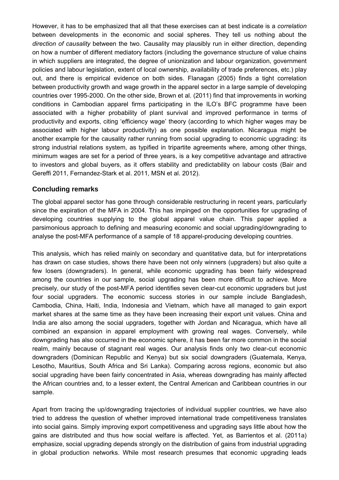However, it has to be emphasized that all that these exercises can at best indicate is a *correlation* between developments in the economic and social spheres. They tell us nothing about the *direction of causality* between the two. Causality may plausibly run in either direction, depending on how a number of different mediatory factors (including the governance structure of value chains in which suppliers are integrated, the degree of unionization and labour organization, government policies and labour legislation, extent of local ownership, availability of trade preferences, etc.) play out, and there is empirical evidence on both sides. Flanagan (2005) finds a tight correlation between productivity growth and wage growth in the apparel sector in a large sample of developing countries over 1995-2000. On the other side, Brown et al. (2011) find that improvements in working conditions in Cambodian apparel firms participating in the ILO's BFC programme have been associated with a higher probability of plant survival and improved performance in terms of productivity and exports, citing 'efficiency wage' theory (according to which higher wages may be associated with higher labour productivity) as one possible explanation. Nicaragua might be another example for the causality rather running from social upgrading to economic upgrading: its strong industrial relations system, as typified in tripartite agreements where, among other things, minimum wages are set for a period of three years, is a key competitive advantage and attractive to investors and global buyers, as it offers stability and predictability on labour costs (Bair and Gereffi 2011, Fernandez-Stark et al. 2011, MSN et al. 2012).

#### **Concluding remarks**

The global apparel sector has gone through considerable restructuring in recent years, particularly since the expiration of the MFA in 2004. This has impinged on the opportunities for upgrading of developing countries supplying to the global apparel value chain. This paper applied a parsimonious approach to defining and measuring economic and social upgrading/downgrading to analyse the post-MFA performance of a sample of 18 apparel-producing developing countries.

This analysis, which has relied mainly on secondary and quantitative data, but for interpretations has drawn on case studies, shows there have been not only winners (upgraders) but also quite a few losers (downgraders). In general, while economic upgrading has been fairly widespread among the countries in our sample, social upgrading has been more difficult to achieve. More precisely, our study of the post-MFA period identifies seven clear-cut economic upgraders but just four social upgraders. The economic success stories in our sample include Bangladesh, Cambodia, China, Haiti, India, Indonesia and Vietnam, which have all managed to gain export market shares at the same time as they have been increasing their export unit values. China and India are also among the social upgraders, together with Jordan and Nicaragua, which have all combined an expansion in apparel employment with growing real wages. Conversely, while downgrading has also occurred in the economic sphere, it has been far more common in the social realm, mainly because of stagnant real wages. Our analysis finds only two clear-cut economic downgraders (Dominican Republic and Kenya) but six social downgraders (Guatemala, Kenya, Lesotho, Mauritius, South Africa and Sri Lanka). Comparing across regions, economic but also social upgrading have been fairly concentrated in Asia, whereas downgrading has mainly affected the African countries and, to a lesser extent, the Central American and Caribbean countries in our sample.

Apart from tracing the up/downgrading trajectories of individual supplier countries, we have also tried to address the question of whether improved international trade competitiveness translates into social gains. Simply improving export competitiveness and upgrading says little about how the gains are distributed and thus how social welfare is affected. Yet, as Barrientos et al. (2011a) emphasize, social upgrading depends strongly on the distribution of gains from industrial upgrading in global production networks. While most research presumes that economic upgrading leads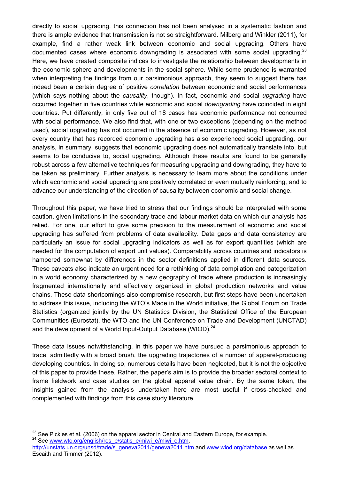directly to social upgrading, this connection has not been analysed in a systematic fashion and there is ample evidence that transmission is not so straightforward. Milberg and Winkler (2011), for example, find a rather weak link between economic and social upgrading. Others have documented cases where economic downgrading is associated with some social upgrading.<sup>23</sup> Here, we have created composite indices to investigate the relationship between developments in the economic sphere and developments in the social sphere. While some prudence is warranted when interpreting the findings from our parsimonious approach, they seem to suggest there has indeed been a certain degree of positive *correlation* between economic and social performances (which says nothing about the *causality*, though). In fact, economic and social *upgrading* have occurred together in five countries while economic and social *downgrading* have coincided in eight countries. Put differently, in only five out of 18 cases has economic performance not concurred with social performance. We also find that, with one or two exceptions (depending on the method used), social upgrading has not occurred in the absence of economic upgrading. However, as not every country that has recorded economic upgrading has also experienced social upgrading, our analysis, in summary, suggests that economic upgrading does not automatically translate into, but seems to be conducive to, social upgrading. Although these results are found to be generally robust across a few alternative techniques for measuring upgrading and downgrading, they have to be taken as preliminary. Further analysis is necessary to learn more about the conditions under which economic and social upgrading are positively correlated or even mutually reinforcing, and to advance our understanding of the direction of causality between economic and social change.

Throughout this paper, we have tried to stress that our findings should be interpreted with some caution, given limitations in the secondary trade and labour market data on which our analysis has relied. For one, our effort to give some precision to the measurement of economic and social upgrading has suffered from problems of data availability. Data gaps and data consistency are particularly an issue for social upgrading indicators as well as for export quantities (which are needed for the computation of export unit values). Comparability across countries and indicators is hampered somewhat by differences in the sector definitions applied in different data sources. These caveats also indicate an urgent need for a rethinking of data compilation and categorization in a world economy characterized by a new geography of trade where production is increasingly fragmented internationally and effectively organized in global production networks and value chains. These data shortcomings also compromise research, but first steps have been undertaken to address this issue, including the WTO's Made in the World initiative, the Global Forum on Trade Statistics (organized jointly by the UN Statistics Division, the Statistical Office of the European Communities (Eurostat), the WTO and the UN Conference on Trade and Development (UNCTAD) and the development of a World Input-Output Database (WIOD).<sup>24</sup>

These data issues notwithstanding, in this paper we have pursued a parsimonious approach to trace, admittedly with a broad brush, the upgrading trajectories of a number of apparel-producing developing countries. In doing so, numerous details have been neglected, but it is not the objective of this paper to provide these. Rather, the paper's aim is to provide the broader sectoral context to frame fieldwork and case studies on the global apparel value chain. By the same token, the insights gained from the analysis undertaken here are most useful if cross-checked and complemented with findings from this case study literature.

<sup>&</sup>lt;sup>23</sup> See Pickles et al. (2006) on the apparel sector in Central and Eastern Europe, for example.<br><sup>24</sup> See <u>www.wto.org/english/res\_e/statis\_e/miwi\_e/miwi\_e.htm,</u>

http://unstats.un.org/unsd/trade/s\_geneva2011/geneva2011.htm and www.wiod.org/database as well as Escaith and Timmer (2012).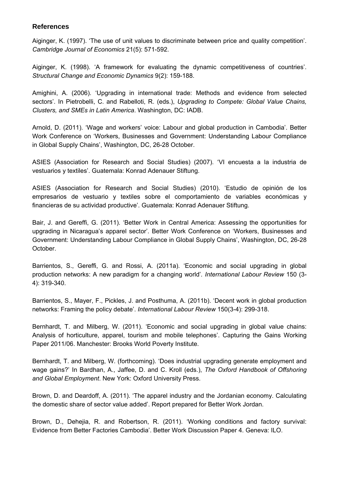#### **References**

Aiginger, K. (1997). 'The use of unit values to discriminate between price and quality competition'. *Cambridge Journal of Economics* 21(5): 571-592.

Aiginger, K. (1998). 'A framework for evaluating the dynamic competitiveness of countries'. *Structural Change and Economic Dynamics* 9(2): 159-188.

Amighini, A. (2006). 'Upgrading in international trade: Methods and evidence from selected sectors'. In Pietrobelli, C. and Rabelloti, R. (eds.), *Upgrading to Compete: Global Value Chains, Clusters, and SMEs in Latin America*. Washington, DC: IADB.

Arnold, D. (2011). 'Wage and workers' voice: Labour and global production in Cambodia'. Better Work Conference on 'Workers, Businesses and Government: Understanding Labour Compliance in Global Supply Chains', Washington, DC, 26-28 October.

ASIES (Association for Research and Social Studies) (2007). 'VI encuesta a la industria de vestuarios y textiles'. Guatemala: Konrad Adenauer Stiftung.

ASIES (Association for Research and Social Studies) (2010). 'Estudio de opinión de los empresarios de vestuario y textiles sobre el comportamiento de variables económicas y financieras de su actividad productive'. Guatemala: Konrad Adenauer Stiftung.

Bair, J. and Gereffi, G. (2011). 'Better Work in Central America: Assessing the opportunities for upgrading in Nicaragua's apparel sector'. Better Work Conference on 'Workers, Businesses and Government: Understanding Labour Compliance in Global Supply Chains', Washington, DC, 26-28 October.

Barrientos, S., Gereffi, G. and Rossi, A. (2011a). 'Economic and social upgrading in global production networks: A new paradigm for a changing world'*. International Labour Review* 150 (3- 4): 319-340.

Barrientos, S., Mayer, F., Pickles, J. and Posthuma, A. (2011b). 'Decent work in global production networks: Framing the policy debate'. *International Labour Review* 150(3-4): 299-318.

Bernhardt, T. and Milberg, W. (2011). 'Economic and social upgrading in global value chains: Analysis of horticulture, apparel, tourism and mobile telephones'. Capturing the Gains Working Paper 2011/06. Manchester: Brooks World Poverty Institute.

Bernhardt, T. and Milberg, W. (forthcoming). 'Does industrial upgrading generate employment and wage gains?' In Bardhan, A., Jaffee, D. and C. Kroll (eds.), *The Oxford Handbook of Offshoring and Global Employment*. New York: Oxford University Press.

Brown, D. and Deardoff, A. (2011). 'The apparel industry and the Jordanian economy. Calculating the domestic share of sector value added'. Report prepared for Better Work Jordan.

Brown, D., Dehejia, R. and Robertson, R. (2011). 'Working conditions and factory survival: Evidence from Better Factories Cambodia'. Better Work Discussion Paper 4. Geneva: ILO.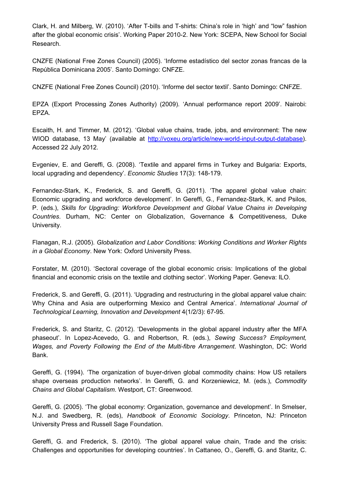Clark, H. and Milberg, W. (2010). 'After T-bills and T-shirts: China's role in 'high' and "low" fashion after the global economic crisis'. Working Paper 2010-2. New York: SCEPA, New School for Social Research.

CNZFE (National Free Zones Council) (2005). 'Informe estadístico del sector zonas francas de la República Dominicana 2005'. Santo Domingo: CNFZE.

CNZFE (National Free Zones Council) (2010). 'Informe del sector textil'. Santo Domingo: CNFZE.

EPZA (Export Processing Zones Authority) (2009). 'Annual performance report 2009'. Nairobi: EPZA.

Escaith, H. and Timmer, M. (2012). 'Global value chains*,* trade*,* jobs*,* and environment: The new WIOD database, 13 May' (available at http://voxeu.org/article/new-world-input-output-database). Accessed 22 July 2012.

Evgeniev, E. and Gereffi, G. (2008). 'Textile and apparel firms in Turkey and Bulgaria: Exports, local upgrading and dependency'. *Economic Studies* 17(3): 148-179.

Fernandez-Stark, K., Frederick, S. and Gereffi, G. (2011). 'The apparel global value chain: Economic upgrading and workforce development'. In Gereffi, G., Fernandez-Stark, K. and Psilos, P. (eds.), *Skills for Upgrading: Workforce Development and Global Value Chains in Developing Countries*. Durham, NC: Center on Globalization, Governance & Competitiveness, Duke University.

Flanagan, R.J. (2005). *Globalization and Labor Conditions: Working Conditions and Worker Rights in a Global Economy*. New York: Oxford University Press.

Forstater, M. (2010). 'Sectoral coverage of the global economic crisis: Implications of the global financial and economic crisis on the textile and clothing sector'. Working Paper. Geneva: ILO.

Frederick, S. and Gereffi, G. (2011). 'Upgrading and restructuring in the global apparel value chain: Why China and Asia are outperforming Mexico and Central America'. *International Journal of Technological Learning, Innovation and Development* 4(1/2/3): 67-95.

Frederick, S. and Staritz, C. (2012). 'Developments in the global apparel industry after the MFA phaseout'. In Lopez-Acevedo, G. and Robertson, R. (eds.), *Sewing Success? Employment, Wages, and Poverty Following the End of the Multi-fibre Arrangement*. Washington, DC: World Bank.

Gereffi, G. (1994). 'The organization of buyer-driven global commodity chains: How US retailers shape overseas production networks'. In Gereffi, G. and Korzeniewicz, M. (eds.), *Commodity Chains and Global Capitalism*. Westport, CT: Greenwood.

Gereffi, G. (2005). 'The global economy: Organization, governance and development'. In Smelser, N.J. and Swedberg, R. (eds), *Handbook of Economic Sociology*. Princeton, NJ: Princeton University Press and Russell Sage Foundation.

Gereffi, G. and Frederick, S. (2010). 'The global apparel value chain, Trade and the crisis: Challenges and opportunities for developing countries'. In Cattaneo, O., Gereffi, G. and Staritz, C.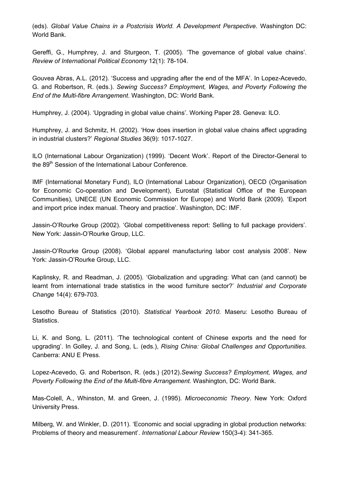(eds). *Global Value Chains in a Postcrisis World. A Development Perspective*. Washington DC: World Bank.

Gereffi, G., Humphrey, J. and Sturgeon, T. (2005). 'The governance of global value chains'. *Review of International Political Economy* 12(1): 78-104.

Gouvea Abras, A.L. (2012). 'Success and upgrading after the end of the MFA'. In Lopez-Acevedo, G. and Robertson, R. (eds.). *Sewing Success? Employment, Wages, and Poverty Following the End of the Multi-fibre Arrangement*. Washington, DC: World Bank.

Humphrey, J. (2004). 'Upgrading in global value chains'. Working Paper 28. Geneva: ILO.

Humphrey, J. and Schmitz, H. (2002). 'How does insertion in global value chains affect upgrading in industrial clusters?' *Regional Studies* 36(9): 1017-1027.

ILO (International Labour Organization) (1999). 'Decent Work'. Report of the Director-General to the 89<sup>th</sup> Session of the International Labour Conference.

IMF (International Monetary Fund), ILO (International Labour Organization), OECD (Organisation for Economic Co-operation and Development), Eurostat (Statistical Office of the European Communities), UNECE (UN Economic Commission for Europe) and World Bank (2009). 'Export and import price index manual. Theory and practice'. Washington, DC: IMF.

Jassin-O'Rourke Group (2002). 'Global competitiveness report: Selling to full package providers'. New York: Jassin-O'Rourke Group, LLC.

Jassin-O'Rourke Group (2008). 'Global apparel manufacturing labor cost analysis 2008'. New York: Jassin-O'Rourke Group, LLC.

Kaplinsky, R. and Readman, J. (2005). 'Globalization and upgrading: What can (and cannot) be learnt from international trade statistics in the wood furniture sector?' *Industrial and Corporate Change* 14(4): 679-703.

Lesotho Bureau of Statistics (2010). *Statistical Yearbook 2010*. Maseru: Lesotho Bureau of Statistics.

Li, K. and Song, L. (2011). 'The technological content of Chinese exports and the need for upgrading'. In Golley, J. and Song, L. (eds.), *Rising China: Global Challenges and Opportunities*. Canberra: ANU E Press.

Lopez-Acevedo, G. and Robertson, R. (eds.) (2012).*Sewing Success? Employment, Wages, and Poverty Following the End of the Multi-fibre Arrangement.* Washington, DC: World Bank.

Mas-Colell, A., Whinston, M. and Green, J. (1995). *Microeconomic Theory*. New York: Oxford University Press.

Milberg, W. and Winkler, D. (2011). 'Economic and social upgrading in global production networks: Problems of theory and measurement'. *International Labour Review* 150(3-4): 341-365.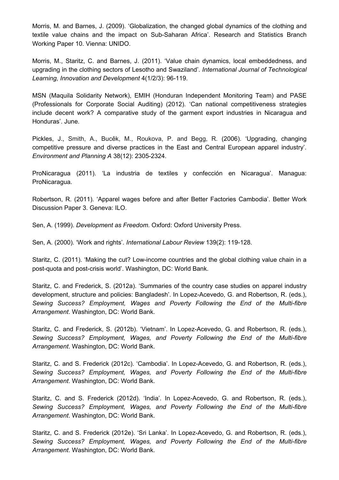Morris, M. and Barnes, J. (2009). 'Globalization, the changed global dynamics of the clothing and textile value chains and the impact on Sub-Saharan Africa'. Research and Statistics Branch Working Paper 10. Vienna: UNIDO.

Morris, M., Staritz, C. and Barnes, J. (2011). 'Value chain dynamics, local embeddedness, and upgrading in the clothing sectors of Lesotho and Swaziland'. *International Journal of Technological Learning, Innovation and Development* 4(1/2/3): 96-119.

MSN (Maquila Solidarity Network), EMIH (Honduran Independent Monitoring Team) and PASE (Professionals for Corporate Social Auditing) (2012). 'Can national competitiveness strategies include decent work? A comparative study of the garment export industries in Nicaragua and Honduras'. June.

Pickles, J., Smith, A., Bucěk, M., Roukova, P. and Begg, R. (2006). 'Upgrading, changing competitive pressure and diverse practices in the East and Central European apparel industry'. *Environment and Planning A* 38(12): 2305-2324.

ProNicaragua (2011). 'La industria de textiles y confección en Nicaragua'. Managua: ProNicaragua.

Robertson, R. (2011). 'Apparel wages before and after Better Factories Cambodia'. Better Work Discussion Paper 3. Geneva: ILO.

Sen, A. (1999). *Development as Freedom.* Oxford: Oxford University Press.

Sen, A. (2000). 'Work and rights'*. International Labour Review* 139(2): 119-128.

Staritz, C. (2011). 'Making the cut? Low-income countries and the global clothing value chain in a post-quota and post-crisis world'. Washington, DC: World Bank.

Staritz, C. and Frederick, S. (2012a). 'Summaries of the country case studies on apparel industry development, structure and policies: Bangladesh'. In Lopez-Acevedo, G. and Robertson, R. (eds.), *Sewing Success? Employment, Wages and Poverty Following the End of the Multi-fibre Arrangement*. Washington, DC: World Bank.

Staritz, C. and Frederick, S. (2012b). 'Vietnam'. In Lopez-Acevedo, G. and Robertson, R. (eds.), *Sewing Success? Employment, Wages, and Poverty Following the End of the Multi-fibre Arrangement*. Washington, DC: World Bank.

Staritz, C. and S. Frederick (2012c). 'Cambodia'. In Lopez-Acevedo, G. and Robertson, R. (eds.), *Sewing Success? Employment, Wages, and Poverty Following the End of the Multi-fibre Arrangement*. Washington, DC: World Bank.

Staritz, C. and S. Frederick (2012d). 'India'. In Lopez-Acevedo, G. and Robertson, R. (eds.), *Sewing Success? Employment, Wages, and Poverty Following the End of the Multi-fibre Arrangement*. Washington, DC: World Bank.

Staritz, C. and S. Frederick (2012e). 'Sri Lanka'. In Lopez-Acevedo, G. and Robertson, R. (eds.), *Sewing Success? Employment, Wages, and Poverty Following the End of the Multi-fibre Arrangement*. Washington, DC: World Bank.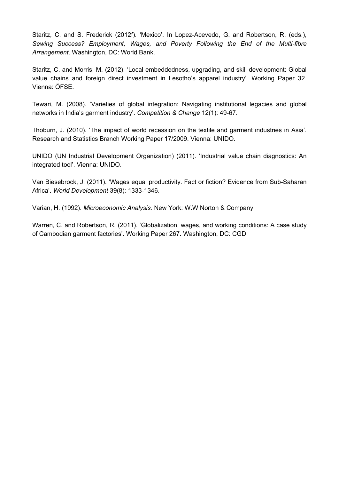Staritz, C. and S. Frederick (2012f). 'Mexico'. In Lopez-Acevedo, G. and Robertson, R. (eds.), *Sewing Success? Employment, Wages, and Poverty Following the End of the Multi-fibre Arrangement*. Washington, DC: World Bank.

Staritz, C. and Morris, M. (2012). 'Local embeddedness, upgrading, and skill development: Global value chains and foreign direct investment in Lesotho's apparel industry'. Working Paper 32. Vienna: ÖFSE.

Tewari, M. (2008). 'Varieties of global integration: Navigating institutional legacies and global networks in India's garment industry'. *Competition & Change* 12(1): 49-67.

Thoburn, J. (2010). 'The impact of world recession on the textile and garment industries in Asia'. Research and Statistics Branch Working Paper 17/2009. Vienna: UNIDO.

UNIDO (UN Industrial Development Organization) (2011). 'Industrial value chain diagnostics: An integrated tool'. Vienna: UNIDO.

Van Biesebrock, J. (2011). 'Wages equal productivity. Fact or fiction? Evidence from Sub-Saharan Africa'. *World Development* 39(8): 1333-1346.

Varian, H. (1992). *Microeconomic Analysis.* New York: W.W Norton & Company.

Warren, C. and Robertson, R. (2011). 'Globalization, wages, and working conditions: A case study of Cambodian garment factories'. Working Paper 267. Washington, DC: CGD.